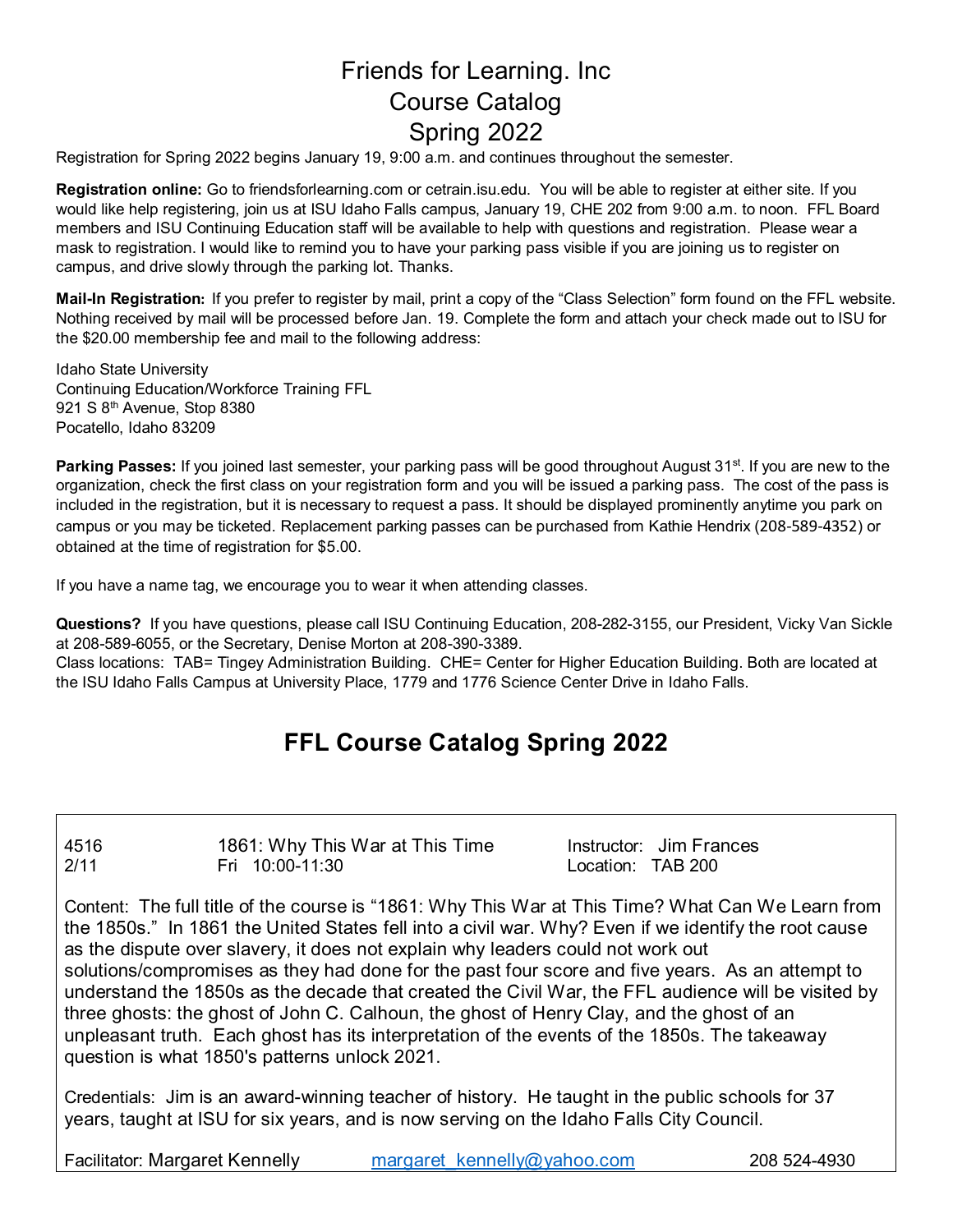# Friends for Learning. Inc Course Catalog Spring 2022

Registration for Spring 2022 begins January 19, 9:00 a.m. and continues throughout the semester.

**Registration online:** Go to friendsforlearning.com or cetrain.isu.edu. You will be able to register at either site. If you would like help registering, join us at ISU Idaho Falls campus, January 19, CHE 202 from 9:00 a.m. to noon. FFL Board members and ISU Continuing Education staff will be available to help with questions and registration. Please wear a mask to registration. I would like to remind you to have your parking pass visible if you are joining us to register on campus, and drive slowly through the parking lot. Thanks.

**Mail-In Registration:** If you prefer to register by mail, print a copy of the "Class Selection" form found on the FFL website. Nothing received by mail will be processed before Jan. 19. Complete the form and attach your check made out to ISU for the \$20.00 membership fee and mail to the following address:

Idaho State University Continuing Education/Workforce Training FFL 921 S 8<sup>th</sup> Avenue, Stop 8380 Pocatello, Idaho 83209

**Parking Passes:** If you joined last semester, your parking pass will be good throughout August 31<sup>st</sup>. If you are new to the organization, check the first class on your registration form and you will be issued a parking pass. The cost of the pass is included in the registration, but it is necessary to request a pass. It should be displayed prominently anytime you park on campus or you may be ticketed. Replacement parking passes can be purchased from Kathie Hendrix (208-589-4352) or obtained at the time of registration for \$5.00.

If you have a name tag, we encourage you to wear it when attending classes.

**Questions?** If you have questions, please call ISU Continuing Education, 208-282-3155, our President, Vicky Van Sickle at 208-589-6055, or the Secretary, Denise Morton at 208-390-3389.

Class locations: TAB= Tingey Administration Building. CHE= Center for Higher Education Building. Both are located at the ISU Idaho Falls Campus at University Place, 1779 and 1776 Science Center Drive in Idaho Falls.

# **FFL Course Catalog Spring 2022**

4516 1861: Why This War at This Time Instructor: Jim Frances 2/11 Fri 10:00-11:30 Location: TAB 200

Content: The full title of the course is "1861: Why This War at This Time? What Can We Learn from the 1850s." In 1861 the United States fell into a civil war. Why? Even if we identify the root cause as the dispute over slavery, it does not explain why leaders could not work out solutions/compromises as they had done for the past four score and five years. As an attempt to understand the 1850s as the decade that created the Civil War, the FFL audience will be visited by three ghosts: the ghost of John C. Calhoun, the ghost of Henry Clay, and the ghost of an unpleasant truth. Each ghost has its interpretation of the events of the 1850s. The takeaway question is what 1850's patterns unlock 2021.

Credentials: Jim is an award-winning teacher of history. He taught in the public schools for 37 years, taught at ISU for six years, and is now serving on the Idaho Falls City Council.

Facilitator: Margaret Kennelly margaret kennelly@yahoo.com 208 524-4930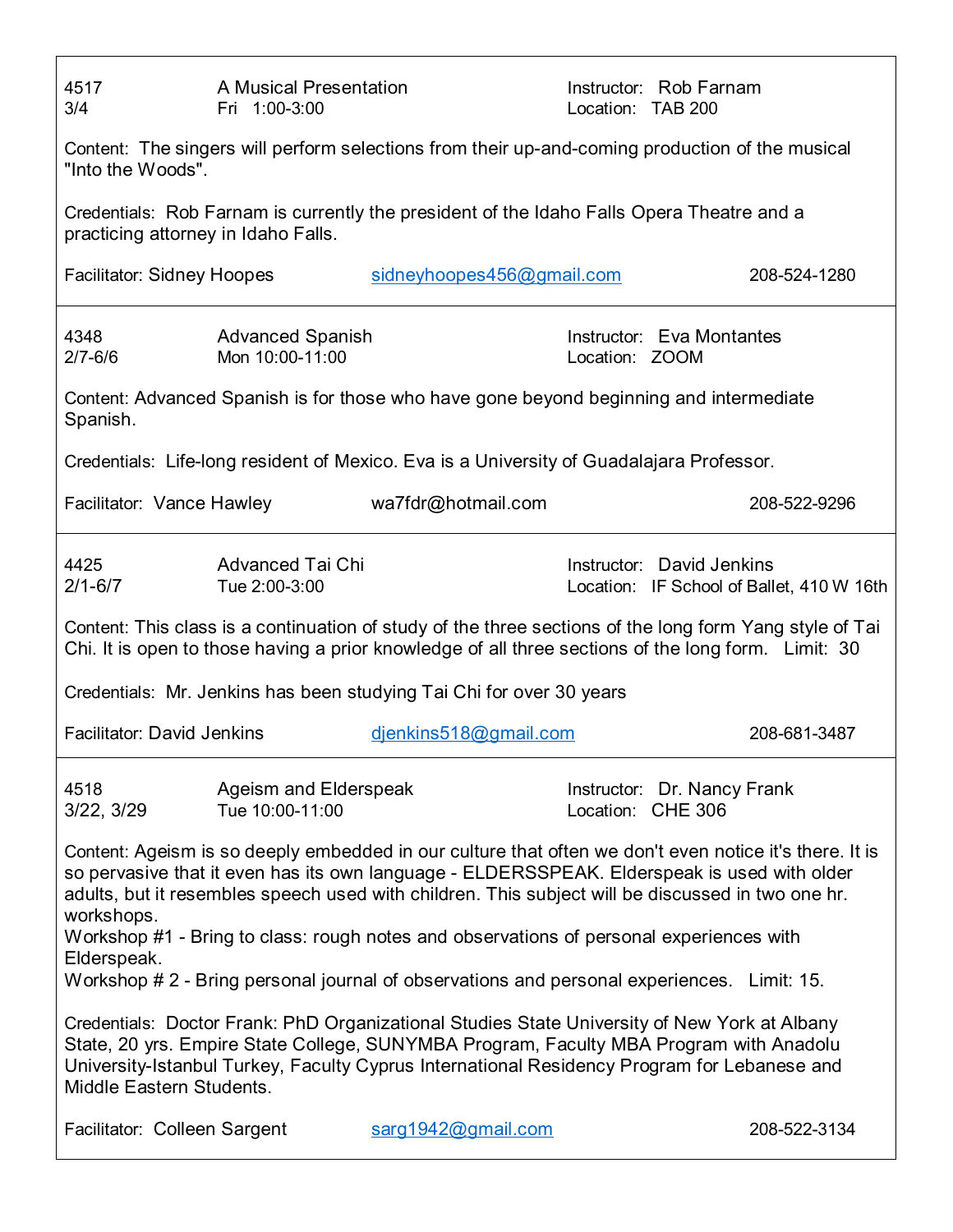| 4517<br>3/4                                                                                                          | A Musical Presentation<br>Fri 1:00-3:00    |                                                                                              | Location: TAB 200 | Instructor: Rob Farnam                                                                                                                                                                                                                                                                                     |  |  |
|----------------------------------------------------------------------------------------------------------------------|--------------------------------------------|----------------------------------------------------------------------------------------------|-------------------|------------------------------------------------------------------------------------------------------------------------------------------------------------------------------------------------------------------------------------------------------------------------------------------------------------|--|--|
| Content: The singers will perform selections from their up-and-coming production of the musical<br>"Into the Woods". |                                            |                                                                                              |                   |                                                                                                                                                                                                                                                                                                            |  |  |
| practicing attorney in Idaho Falls.                                                                                  |                                            | Credentials: Rob Farnam is currently the president of the Idaho Falls Opera Theatre and a    |                   |                                                                                                                                                                                                                                                                                                            |  |  |
| Facilitator: Sidney Hoopes                                                                                           |                                            | sidneyhoopes456@gmail.com                                                                    |                   | 208-524-1280                                                                                                                                                                                                                                                                                               |  |  |
| 4348<br>$2/7 - 6/6$                                                                                                  | <b>Advanced Spanish</b><br>Mon 10:00-11:00 |                                                                                              | Location: ZOOM    | Instructor: Eva Montantes                                                                                                                                                                                                                                                                                  |  |  |
| Spanish.                                                                                                             |                                            | Content: Advanced Spanish is for those who have gone beyond beginning and intermediate       |                   |                                                                                                                                                                                                                                                                                                            |  |  |
|                                                                                                                      |                                            | Credentials: Life-long resident of Mexico. Eva is a University of Guadalajara Professor.     |                   |                                                                                                                                                                                                                                                                                                            |  |  |
|                                                                                                                      | Facilitator: Vance Hawley                  | wa7fdr@hotmail.com                                                                           |                   | 208-522-9296                                                                                                                                                                                                                                                                                               |  |  |
| 4425<br>$2/1 - 6/7$                                                                                                  | <b>Advanced Tai Chi</b><br>Tue 2:00-3:00   |                                                                                              |                   | Instructor: David Jenkins<br>Location: IF School of Ballet, 410 W 16th                                                                                                                                                                                                                                     |  |  |
|                                                                                                                      |                                            |                                                                                              |                   |                                                                                                                                                                                                                                                                                                            |  |  |
|                                                                                                                      |                                            |                                                                                              |                   | Content: This class is a continuation of study of the three sections of the long form Yang style of Tai<br>Chi. It is open to those having a prior knowledge of all three sections of the long form. Limit: 30                                                                                             |  |  |
|                                                                                                                      |                                            | Credentials: Mr. Jenkins has been studying Tai Chi for over 30 years                         |                   |                                                                                                                                                                                                                                                                                                            |  |  |
| <b>Facilitator: David Jenkins</b>                                                                                    |                                            | djenkins518@gmail.com                                                                        |                   | 208-681-3487                                                                                                                                                                                                                                                                                               |  |  |
| 4518<br>3/22, 3/29                                                                                                   | Ageism and Elderspeak<br>Tue 10:00-11:00   |                                                                                              |                   | Instructor: Dr. Nancy Frank<br>Location: CHE 306                                                                                                                                                                                                                                                           |  |  |
| workshops.<br>Elderspeak.                                                                                            |                                            | Workshop #1 - Bring to class: rough notes and observations of personal experiences with      |                   | Content: Ageism is so deeply embedded in our culture that often we don't even notice it's there. It is<br>so pervasive that it even has its own language - ELDERSSPEAK. Elderspeak is used with older<br>adults, but it resembles speech used with children. This subject will be discussed in two one hr. |  |  |
|                                                                                                                      |                                            | Workshop # 2 - Bring personal journal of observations and personal experiences. Limit: 15.   |                   |                                                                                                                                                                                                                                                                                                            |  |  |
| Middle Eastern Students.                                                                                             |                                            | Credentials: Doctor Frank: PhD Organizational Studies State University of New York at Albany |                   | State, 20 yrs. Empire State College, SUNYMBA Program, Faculty MBA Program with Anadolu<br>University-Istanbul Turkey, Faculty Cyprus International Residency Program for Lebanese and                                                                                                                      |  |  |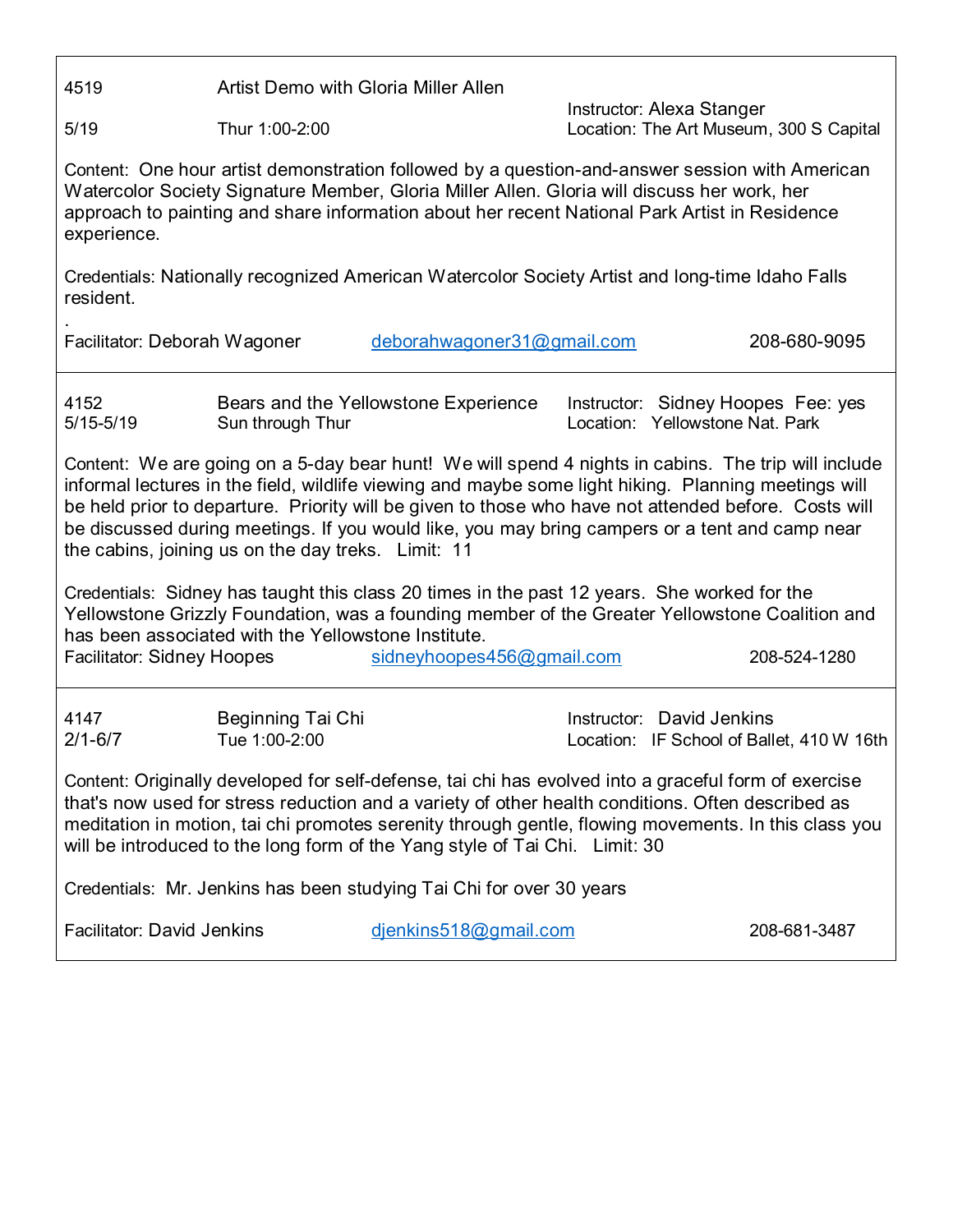4519 Artist Demo with Gloria Miller Allen

Instructor: Alexa Stanger 5/19 Thur 1:00-2:00 Location: The Art Museum, 300 S Capital

Content: One hour artist demonstration followed by a question-and-answer session with American Watercolor Society Signature Member, Gloria Miller Allen. Gloria will discuss her work, her approach to painting and share information about her recent National Park Artist in Residence experience.

Credentials: Nationally recognized American Watercolor Society Artist and long-time Idaho Falls resident.

.

Facilitator: Deborah Wagoner [deborahwagoner31@gmail.com](mailto:deborahwagoner31@gmail.com) 208-680-9095

4152 Bears and the Yellowstone Experience Instructor: Sidney Hoopes Fee: yes 5/15-5/19 Sun through Thur Location: Yellowstone Nat. Park

Content: We are going on a 5-day bear hunt! We will spend 4 nights in cabins. The trip will include informal lectures in the field, wildlife viewing and maybe some light hiking. Planning meetings will be held prior to departure. Priority will be given to those who have not attended before. Costs will be discussed during meetings. If you would like, you may bring campers or a tent and camp near the cabins, joining us on the day treks. Limit: 11

Credentials: Sidney has taught this class 20 times in the past 12 years. She worked for the Yellowstone Grizzly Foundation, was a founding member of the Greater Yellowstone Coalition and has been associated with the Yellowstone Institute.

| <b>Facilitator: Sidney Hoopes</b> | sidneyhoopes456@gmail.com | 208-524-1280 |
|-----------------------------------|---------------------------|--------------|
|                                   |                           |              |

| 4147        | Beginning Tai Chi | Instructor: David Jenkins                 |
|-------------|-------------------|-------------------------------------------|
| $2/1 - 6/7$ | Tue 1:00-2:00     | Location: IF School of Ballet, 410 W 16th |

Content: Originally developed for self-defense, tai chi has evolved into a graceful form of exercise that's now used for stress reduction and a variety of other health conditions. Often described as meditation in motion, tai chi promotes serenity through gentle, flowing movements. In this class you will be introduced to the long form of the Yang style of Tai Chi. Limit: 30

Credentials: Mr. Jenkins has been studying Tai Chi for over 30 years

Facilitator: David Jenkins [djenkins518@gmail.com](mailto:djenkins518@gmail.com) 208-681-3487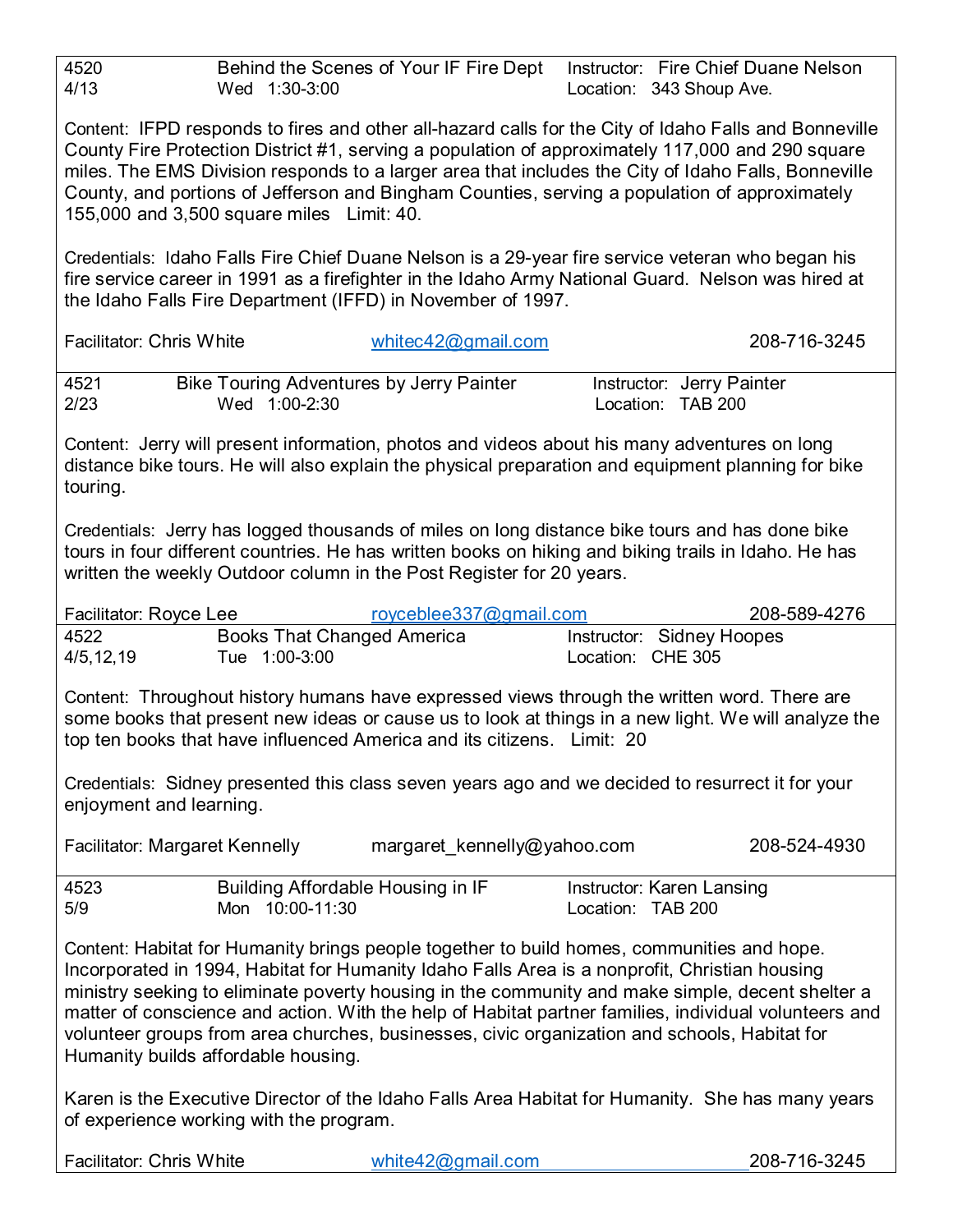| 4520<br>4/13<br>Wed 1:30-3:00                                                                                                                                                                                                                                                                                                                                                                                                                                  | Behind the Scenes of Your IF Fire Dept | Instructor: Fire Chief Duane Nelson<br>Location: 343 Shoup Ave.                                                                                                                                           |  |  |  |
|----------------------------------------------------------------------------------------------------------------------------------------------------------------------------------------------------------------------------------------------------------------------------------------------------------------------------------------------------------------------------------------------------------------------------------------------------------------|----------------------------------------|-----------------------------------------------------------------------------------------------------------------------------------------------------------------------------------------------------------|--|--|--|
| Content: IFPD responds to fires and other all-hazard calls for the City of Idaho Falls and Bonneville<br>County Fire Protection District #1, serving a population of approximately 117,000 and 290 square<br>miles. The EMS Division responds to a larger area that includes the City of Idaho Falls, Bonneville<br>County, and portions of Jefferson and Bingham Counties, serving a population of approximately<br>155,000 and 3,500 square miles Limit: 40. |                                        |                                                                                                                                                                                                           |  |  |  |
| the Idaho Falls Fire Department (IFFD) in November of 1997.                                                                                                                                                                                                                                                                                                                                                                                                    |                                        | Credentials: Idaho Falls Fire Chief Duane Nelson is a 29-year fire service veteran who began his<br>fire service career in 1991 as a firefighter in the Idaho Army National Guard. Nelson was hired at    |  |  |  |
| <b>Facilitator: Chris White</b>                                                                                                                                                                                                                                                                                                                                                                                                                                | whitec42@gmail.com                     | 208-716-3245                                                                                                                                                                                              |  |  |  |
| <b>Bike Touring Adventures by Jerry Painter</b><br>4521<br>2/23<br>Wed 1:00-2:30                                                                                                                                                                                                                                                                                                                                                                               |                                        | Instructor: Jerry Painter<br>Location: TAB 200                                                                                                                                                            |  |  |  |
| Content: Jerry will present information, photos and videos about his many adventures on long<br>touring.                                                                                                                                                                                                                                                                                                                                                       |                                        | distance bike tours. He will also explain the physical preparation and equipment planning for bike                                                                                                        |  |  |  |
| Credentials: Jerry has logged thousands of miles on long distance bike tours and has done bike<br>written the weekly Outdoor column in the Post Register for 20 years.                                                                                                                                                                                                                                                                                         |                                        | tours in four different countries. He has written books on hiking and biking trails in Idaho. He has                                                                                                      |  |  |  |
| Facilitator: Royce Lee<br><b>Books That Changed America</b><br>4522<br>Tue 1:00-3:00<br>4/5, 12, 19                                                                                                                                                                                                                                                                                                                                                            | royceblee337@gmail.com                 | 208-589-4276<br>Instructor: Sidney Hoopes<br>Location: CHE 305                                                                                                                                            |  |  |  |
| Content: Throughout history humans have expressed views through the written word. There are<br>top ten books that have influenced America and its citizens. Limit: 20                                                                                                                                                                                                                                                                                          |                                        | some books that present new ideas or cause us to look at things in a new light. We will analyze the                                                                                                       |  |  |  |
| Credentials: Sidney presented this class seven years ago and we decided to resurrect it for your<br>enjoyment and learning.                                                                                                                                                                                                                                                                                                                                    |                                        |                                                                                                                                                                                                           |  |  |  |
| Facilitator: Margaret Kennelly                                                                                                                                                                                                                                                                                                                                                                                                                                 | margaret kennelly@yahoo.com            | 208-524-4930                                                                                                                                                                                              |  |  |  |
| Building Affordable Housing in IF<br>4523<br>5/9<br>Mon 10:00-11:30                                                                                                                                                                                                                                                                                                                                                                                            |                                        | Instructor: Karen Lansing<br>Location: TAB 200                                                                                                                                                            |  |  |  |
| Content: Habitat for Humanity brings people together to build homes, communities and hope.<br>Incorporated in 1994, Habitat for Humanity Idaho Falls Area is a nonprofit, Christian housing<br>volunteer groups from area churches, businesses, civic organization and schools, Habitat for<br>Humanity builds affordable housing.                                                                                                                             |                                        | ministry seeking to eliminate poverty housing in the community and make simple, decent shelter a<br>matter of conscience and action. With the help of Habitat partner families, individual volunteers and |  |  |  |
| of experience working with the program.                                                                                                                                                                                                                                                                                                                                                                                                                        |                                        | Karen is the Executive Director of the Idaho Falls Area Habitat for Humanity. She has many years                                                                                                          |  |  |  |
| <b>Facilitator: Chris White</b>                                                                                                                                                                                                                                                                                                                                                                                                                                | white $42$ @gmail.com                  | 208-716-3245                                                                                                                                                                                              |  |  |  |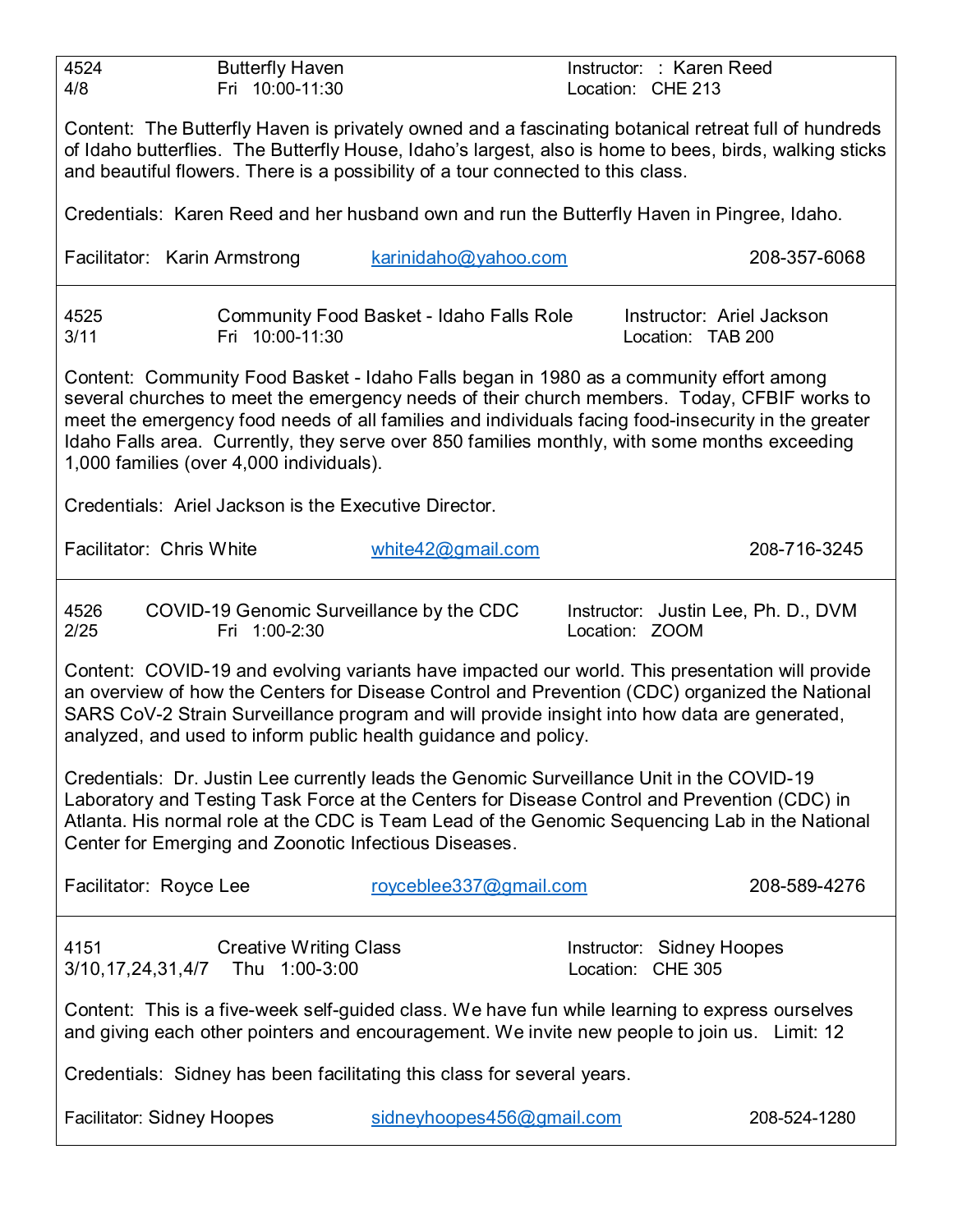| 4524<br><b>Butterfly Haven</b><br>Fri 10:00-11:30<br>4/8                                                                                                                                                                                                                                                                                             |                                                 | Instructor: : Karen Reed<br>Location: CHE 213                                                                                                                                                      |  |  |  |
|------------------------------------------------------------------------------------------------------------------------------------------------------------------------------------------------------------------------------------------------------------------------------------------------------------------------------------------------------|-------------------------------------------------|----------------------------------------------------------------------------------------------------------------------------------------------------------------------------------------------------|--|--|--|
| Content: The Butterfly Haven is privately owned and a fascinating botanical retreat full of hundreds<br>of Idaho butterflies. The Butterfly House, Idaho's largest, also is home to bees, birds, walking sticks<br>and beautiful flowers. There is a possibility of a tour connected to this class.                                                  |                                                 |                                                                                                                                                                                                    |  |  |  |
| Credentials: Karen Reed and her husband own and run the Butterfly Haven in Pingree, Idaho.                                                                                                                                                                                                                                                           |                                                 |                                                                                                                                                                                                    |  |  |  |
| Facilitator: Karin Armstrong                                                                                                                                                                                                                                                                                                                         | karinidaho@yahoo.com                            | 208-357-6068                                                                                                                                                                                       |  |  |  |
| 4525<br>Fri 10:00-11:30<br>3/11                                                                                                                                                                                                                                                                                                                      | <b>Community Food Basket - Idaho Falls Role</b> | Instructor: Ariel Jackson<br>Location: TAB 200                                                                                                                                                     |  |  |  |
| Content: Community Food Basket - Idaho Falls began in 1980 as a community effort among<br>Idaho Falls area. Currently, they serve over 850 families monthly, with some months exceeding<br>1,000 families (over 4,000 individuals).                                                                                                                  |                                                 | several churches to meet the emergency needs of their church members. Today, CFBIF works to<br>meet the emergency food needs of all families and individuals facing food-insecurity in the greater |  |  |  |
| Credentials: Ariel Jackson is the Executive Director.                                                                                                                                                                                                                                                                                                |                                                 |                                                                                                                                                                                                    |  |  |  |
| Facilitator: Chris White                                                                                                                                                                                                                                                                                                                             | white $42@$ gmail.com                           | 208-716-3245                                                                                                                                                                                       |  |  |  |
| COVID-19 Genomic Surveillance by the CDC<br>4526<br>2/25<br>Fri 1:00-2:30                                                                                                                                                                                                                                                                            |                                                 | Instructor: Justin Lee, Ph. D., DVM<br>Location: ZOOM                                                                                                                                              |  |  |  |
| SARS CoV-2 Strain Surveillance program and will provide insight into how data are generated,<br>analyzed, and used to inform public health guidance and policy.                                                                                                                                                                                      |                                                 | Content: COVID-19 and evolving variants have impacted our world. This presentation will provide<br>an overview of how the Centers for Disease Control and Prevention (CDC) organized the National  |  |  |  |
| Credentials: Dr. Justin Lee currently leads the Genomic Surveillance Unit in the COVID-19<br>Laboratory and Testing Task Force at the Centers for Disease Control and Prevention (CDC) in<br>Atlanta. His normal role at the CDC is Team Lead of the Genomic Sequencing Lab in the National<br>Center for Emerging and Zoonotic Infectious Diseases. |                                                 |                                                                                                                                                                                                    |  |  |  |
| Facilitator: Royce Lee                                                                                                                                                                                                                                                                                                                               | royceblee337@gmail.com                          | 208-589-4276                                                                                                                                                                                       |  |  |  |
| <b>Creative Writing Class</b><br>4151<br>3/10,17,24,31,4/7 Thu 1:00-3:00                                                                                                                                                                                                                                                                             |                                                 | Instructor: Sidney Hoopes<br>Location: CHE 305                                                                                                                                                     |  |  |  |
| Content: This is a five-week self-guided class. We have fun while learning to express ourselves<br>and giving each other pointers and encouragement. We invite new people to join us. Limit: 12                                                                                                                                                      |                                                 |                                                                                                                                                                                                    |  |  |  |
| Credentials: Sidney has been facilitating this class for several years.                                                                                                                                                                                                                                                                              |                                                 |                                                                                                                                                                                                    |  |  |  |
| <b>Facilitator: Sidney Hoopes</b>                                                                                                                                                                                                                                                                                                                    | sidneyhoopes456@gmail.com                       | 208-524-1280                                                                                                                                                                                       |  |  |  |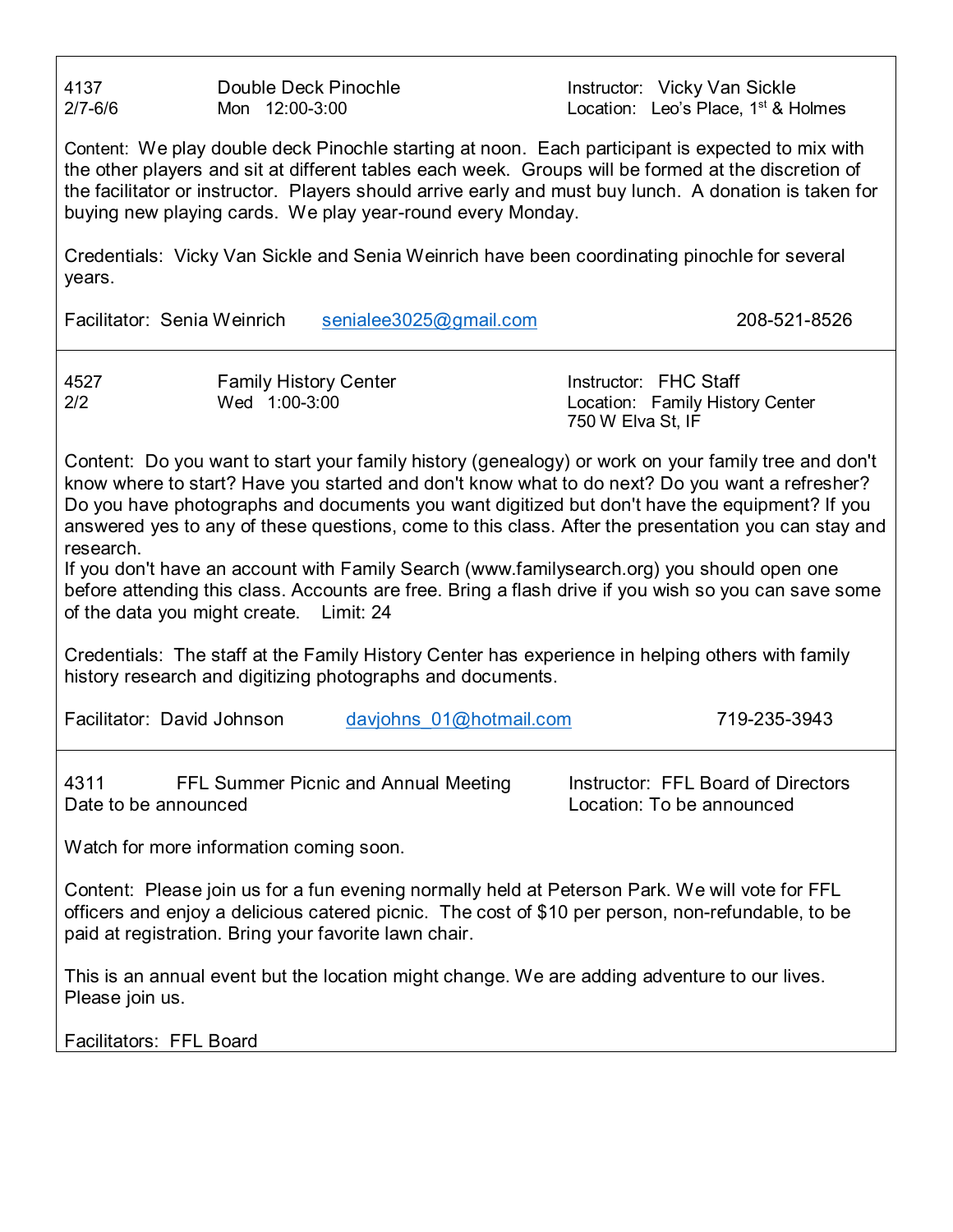4137 **Double Deck Pinochle Instructor: Vicky Van Sickle** 

 $2/7$ -6/6 Mon  $12:00$ -3:00 Mon  $12:00$  Location: Leo's Place, 1<sup>st</sup> & Holmes

Content: We play double deck Pinochle starting at noon. Each participant is expected to mix with the other players and sit at different tables each week. Groups will be formed at the discretion of the facilitator or instructor. Players should arrive early and must buy lunch. A donation is taken for buying new playing cards. We play year-round every Monday.

Credentials: Vicky Van Sickle and Senia Weinrich have been coordinating pinochle for several years.

Facilitator: Senia Weinrich [senialee3025@gmail.com](mailto:senialee3025@gmail.com) 208-521-8526

4527 Family History Center Instructor: FHC Staff Location: Family History Center 750 W Elva St, IF

Content: Do you want to start your family history (genealogy) or work on your family tree and don't know where to start? Have you started and don't know what to do next? Do you want a refresher? Do you have photographs and documents you want digitized but don't have the equipment? If you answered yes to any of these questions, come to this class. After the presentation you can stay and research.

If you don't have an account with Family Search (www.familysearch.org) you should open one before attending this class. Accounts are free. Bring a flash drive if you wish so you can save some of the data you might create. Limit: 24

Credentials: The staff at the Family History Center has experience in helping others with family history research and digitizing photographs and documents.

Facilitator: David Johnson davjohns 01@hotmail.com 719-235-3943

4311 **FFL Summer Picnic and Annual Meeting Langle 11 Solen FFL Board of Directors** Date to be announced **Location:** To be announced

Watch for more information coming soon.

Content: Please join us for a fun evening normally held at Peterson Park. We will vote for FFL officers and enjoy a delicious catered picnic. The cost of \$10 per person, non-refundable, to be paid at registration. Bring your favorite lawn chair.

This is an annual event but the location might change. We are adding adventure to our lives. Please join us.

Facilitators: FFL Board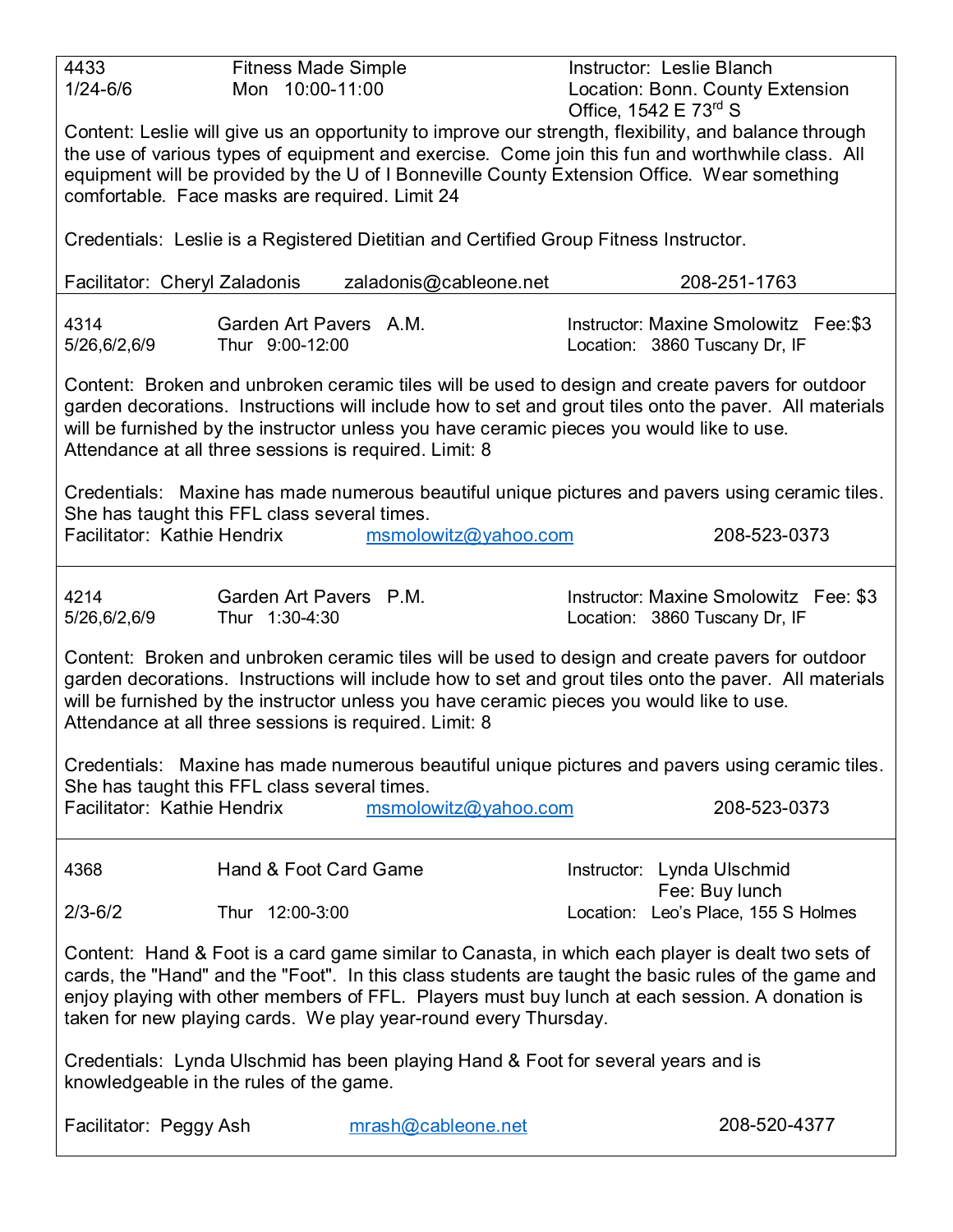| 4433                                           | <b>Fitness Made Simple</b>                                                                                                                                                                                |                                                                                             |  | Instructor: Leslie Blanch                                                                              |  |  |
|------------------------------------------------|-----------------------------------------------------------------------------------------------------------------------------------------------------------------------------------------------------------|---------------------------------------------------------------------------------------------|--|--------------------------------------------------------------------------------------------------------|--|--|
| $1/24 - 6/6$                                   | Mon 10:00-11:00                                                                                                                                                                                           |                                                                                             |  | Location: Bonn. County Extension                                                                       |  |  |
|                                                |                                                                                                                                                                                                           |                                                                                             |  | Office, $1542 \text{ E } 73^{\text{rd}}$ S                                                             |  |  |
|                                                | Content: Leslie will give us an opportunity to improve our strength, flexibility, and balance through<br>the use of various types of equipment and exercise. Come join this fun and worthwhile class. All |                                                                                             |  |                                                                                                        |  |  |
|                                                |                                                                                                                                                                                                           | equipment will be provided by the U of I Bonneville County Extension Office. Wear something |  |                                                                                                        |  |  |
| comfortable. Face masks are required. Limit 24 |                                                                                                                                                                                                           |                                                                                             |  |                                                                                                        |  |  |
|                                                |                                                                                                                                                                                                           |                                                                                             |  |                                                                                                        |  |  |
|                                                |                                                                                                                                                                                                           | Credentials: Leslie is a Registered Dietitian and Certified Group Fitness Instructor.       |  |                                                                                                        |  |  |
| Facilitator: Cheryl Zaladonis                  |                                                                                                                                                                                                           | zaladonis@cableone.net                                                                      |  | 208-251-1763                                                                                           |  |  |
| 4314                                           | Garden Art Pavers A.M.                                                                                                                                                                                    |                                                                                             |  | Instructor: Maxine Smolowitz Fee: \$3                                                                  |  |  |
| 5/26,6/2,6/9                                   | Thur 9:00-12:00                                                                                                                                                                                           |                                                                                             |  | Location: 3860 Tuscany Dr, IF                                                                          |  |  |
|                                                |                                                                                                                                                                                                           |                                                                                             |  |                                                                                                        |  |  |
|                                                |                                                                                                                                                                                                           |                                                                                             |  | Content: Broken and unbroken ceramic tiles will be used to design and create pavers for outdoor        |  |  |
|                                                |                                                                                                                                                                                                           |                                                                                             |  | garden decorations. Instructions will include how to set and grout tiles onto the paver. All materials |  |  |
|                                                |                                                                                                                                                                                                           | will be furnished by the instructor unless you have ceramic pieces you would like to use.   |  |                                                                                                        |  |  |
|                                                |                                                                                                                                                                                                           | Attendance at all three sessions is required. Limit: 8                                      |  |                                                                                                        |  |  |
|                                                |                                                                                                                                                                                                           |                                                                                             |  | Credentials: Maxine has made numerous beautiful unique pictures and pavers using ceramic tiles.        |  |  |
| She has taught this FFL class several times.   |                                                                                                                                                                                                           |                                                                                             |  |                                                                                                        |  |  |
| Facilitator: Kathie Hendrix                    |                                                                                                                                                                                                           | msmolowitz@yahoo.com                                                                        |  | 208-523-0373                                                                                           |  |  |
|                                                |                                                                                                                                                                                                           |                                                                                             |  |                                                                                                        |  |  |
|                                                |                                                                                                                                                                                                           |                                                                                             |  |                                                                                                        |  |  |
| 4214                                           | Garden Art Pavers P.M.                                                                                                                                                                                    |                                                                                             |  | Instructor: Maxine Smolowitz Fee: \$3                                                                  |  |  |
| 5/26,6/2,6/9                                   | Thur 1:30-4:30                                                                                                                                                                                            |                                                                                             |  | Location: 3860 Tuscany Dr, IF                                                                          |  |  |
|                                                |                                                                                                                                                                                                           |                                                                                             |  | Content: Broken and unbroken ceramic tiles will be used to design and create pavers for outdoor        |  |  |
|                                                |                                                                                                                                                                                                           |                                                                                             |  | garden decorations. Instructions will include how to set and grout tiles onto the paver. All materials |  |  |
|                                                |                                                                                                                                                                                                           | will be furnished by the instructor unless you have ceramic pieces you would like to use.   |  |                                                                                                        |  |  |
|                                                |                                                                                                                                                                                                           | Attendance at all three sessions is required. Limit: 8                                      |  |                                                                                                        |  |  |
|                                                |                                                                                                                                                                                                           |                                                                                             |  |                                                                                                        |  |  |
|                                                |                                                                                                                                                                                                           |                                                                                             |  | Credentials: Maxine has made numerous beautiful unique pictures and pavers using ceramic tiles.        |  |  |
| She has taught this FFL class several times.   |                                                                                                                                                                                                           |                                                                                             |  |                                                                                                        |  |  |
| Facilitator: Kathie Hendrix                    |                                                                                                                                                                                                           | msmolowitz@yahoo.com                                                                        |  | 208-523-0373                                                                                           |  |  |
|                                                |                                                                                                                                                                                                           |                                                                                             |  |                                                                                                        |  |  |
| 4368                                           | Hand & Foot Card Game                                                                                                                                                                                     |                                                                                             |  | Instructor: Lynda Ulschmid                                                                             |  |  |
|                                                |                                                                                                                                                                                                           |                                                                                             |  | Fee: Buy lunch                                                                                         |  |  |
| $2/3 - 6/2$                                    | Thur 12:00-3:00                                                                                                                                                                                           |                                                                                             |  | Location: Leo's Place, 155 S Holmes                                                                    |  |  |
|                                                |                                                                                                                                                                                                           |                                                                                             |  |                                                                                                        |  |  |
|                                                |                                                                                                                                                                                                           |                                                                                             |  | Content: Hand & Foot is a card game similar to Canasta, in which each player is dealt two sets of      |  |  |
|                                                |                                                                                                                                                                                                           |                                                                                             |  | cards, the "Hand" and the "Foot". In this class students are taught the basic rules of the game and    |  |  |
|                                                |                                                                                                                                                                                                           |                                                                                             |  | enjoy playing with other members of FFL. Players must buy lunch at each session. A donation is         |  |  |
|                                                |                                                                                                                                                                                                           | taken for new playing cards. We play year-round every Thursday.                             |  |                                                                                                        |  |  |
|                                                |                                                                                                                                                                                                           |                                                                                             |  |                                                                                                        |  |  |
| knowledgeable in the rules of the game.        |                                                                                                                                                                                                           | Credentials: Lynda Ulschmid has been playing Hand & Foot for several years and is           |  |                                                                                                        |  |  |
|                                                |                                                                                                                                                                                                           |                                                                                             |  |                                                                                                        |  |  |
| Facilitator: Peggy Ash                         |                                                                                                                                                                                                           | mrash@cableone.net                                                                          |  | 208-520-4377                                                                                           |  |  |
|                                                |                                                                                                                                                                                                           |                                                                                             |  |                                                                                                        |  |  |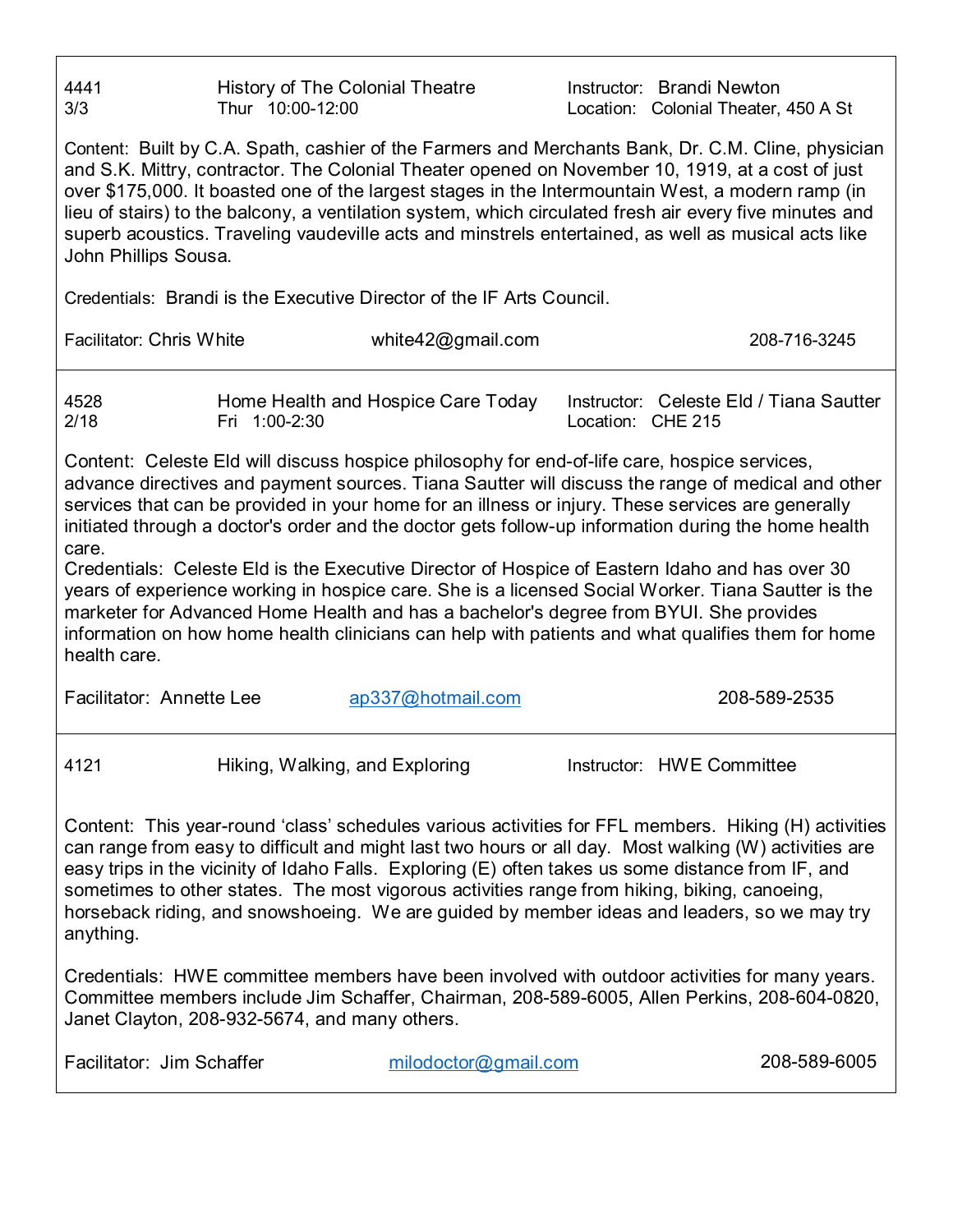| 4441<br>3/3                                                                                                                                                                                                                                                                                                                                                                                                                                                                                                                                                                                                                                                                                                                                                                                                                                                              | <b>History of The Colonial Theatre</b><br>Thur 10:00-12:00 |                                                                                                                                                                                               | Instructor: Brandi Newton<br>Location: Colonial Theater, 450 A St |              |  |
|--------------------------------------------------------------------------------------------------------------------------------------------------------------------------------------------------------------------------------------------------------------------------------------------------------------------------------------------------------------------------------------------------------------------------------------------------------------------------------------------------------------------------------------------------------------------------------------------------------------------------------------------------------------------------------------------------------------------------------------------------------------------------------------------------------------------------------------------------------------------------|------------------------------------------------------------|-----------------------------------------------------------------------------------------------------------------------------------------------------------------------------------------------|-------------------------------------------------------------------|--------------|--|
| Content: Built by C.A. Spath, cashier of the Farmers and Merchants Bank, Dr. C.M. Cline, physician<br>and S.K. Mittry, contractor. The Colonial Theater opened on November 10, 1919, at a cost of just<br>over \$175,000. It boasted one of the largest stages in the Intermountain West, a modern ramp (in<br>lieu of stairs) to the balcony, a ventilation system, which circulated fresh air every five minutes and<br>superb acoustics. Traveling vaudeville acts and minstrels entertained, as well as musical acts like<br>John Phillips Sousa.                                                                                                                                                                                                                                                                                                                    |                                                            |                                                                                                                                                                                               |                                                                   |              |  |
|                                                                                                                                                                                                                                                                                                                                                                                                                                                                                                                                                                                                                                                                                                                                                                                                                                                                          |                                                            | Credentials: Brandi is the Executive Director of the IF Arts Council.                                                                                                                         |                                                                   |              |  |
| <b>Facilitator: Chris White</b>                                                                                                                                                                                                                                                                                                                                                                                                                                                                                                                                                                                                                                                                                                                                                                                                                                          |                                                            | white $42@$ gmail.com                                                                                                                                                                         |                                                                   | 208-716-3245 |  |
| 4528<br>2/18                                                                                                                                                                                                                                                                                                                                                                                                                                                                                                                                                                                                                                                                                                                                                                                                                                                             | Home Health and Hospice Care Today<br>Fri 1:00-2:30        |                                                                                                                                                                                               | Instructor: Celeste Eld / Tiana Sautter<br>Location: CHE 215      |              |  |
| Content: Celeste Eld will discuss hospice philosophy for end-of-life care, hospice services,<br>advance directives and payment sources. Tiana Sautter will discuss the range of medical and other<br>services that can be provided in your home for an illness or injury. These services are generally<br>initiated through a doctor's order and the doctor gets follow-up information during the home health<br>care.<br>Credentials: Celeste Eld is the Executive Director of Hospice of Eastern Idaho and has over 30<br>years of experience working in hospice care. She is a licensed Social Worker. Tiana Sautter is the<br>marketer for Advanced Home Health and has a bachelor's degree from BYUI. She provides<br>information on how home health clinicians can help with patients and what qualifies them for home<br>health care.<br>Facilitator: Annette Lee |                                                            |                                                                                                                                                                                               |                                                                   |              |  |
|                                                                                                                                                                                                                                                                                                                                                                                                                                                                                                                                                                                                                                                                                                                                                                                                                                                                          |                                                            |                                                                                                                                                                                               |                                                                   |              |  |
| 4121                                                                                                                                                                                                                                                                                                                                                                                                                                                                                                                                                                                                                                                                                                                                                                                                                                                                     | Hiking, Walking, and Exploring                             |                                                                                                                                                                                               | Instructor: HWE Committee                                         |              |  |
| Content: This year-round 'class' schedules various activities for FFL members. Hiking (H) activities<br>can range from easy to difficult and might last two hours or all day. Most walking (W) activities are<br>easy trips in the vicinity of Idaho Falls. Exploring (E) often takes us some distance from IF, and<br>sometimes to other states. The most vigorous activities range from hiking, biking, canoeing,<br>horseback riding, and snowshoeing. We are guided by member ideas and leaders, so we may try<br>anything.                                                                                                                                                                                                                                                                                                                                          |                                                            |                                                                                                                                                                                               |                                                                   |              |  |
|                                                                                                                                                                                                                                                                                                                                                                                                                                                                                                                                                                                                                                                                                                                                                                                                                                                                          | Janet Clayton, 208-932-5674, and many others.              | Credentials: HWE committee members have been involved with outdoor activities for many years.<br>Committee members include Jim Schaffer, Chairman, 208-589-6005, Allen Perkins, 208-604-0820, |                                                                   |              |  |
| Facilitator: Jim Schaffer                                                                                                                                                                                                                                                                                                                                                                                                                                                                                                                                                                                                                                                                                                                                                                                                                                                |                                                            | milodoctor@gmail.com                                                                                                                                                                          |                                                                   | 208-589-6005 |  |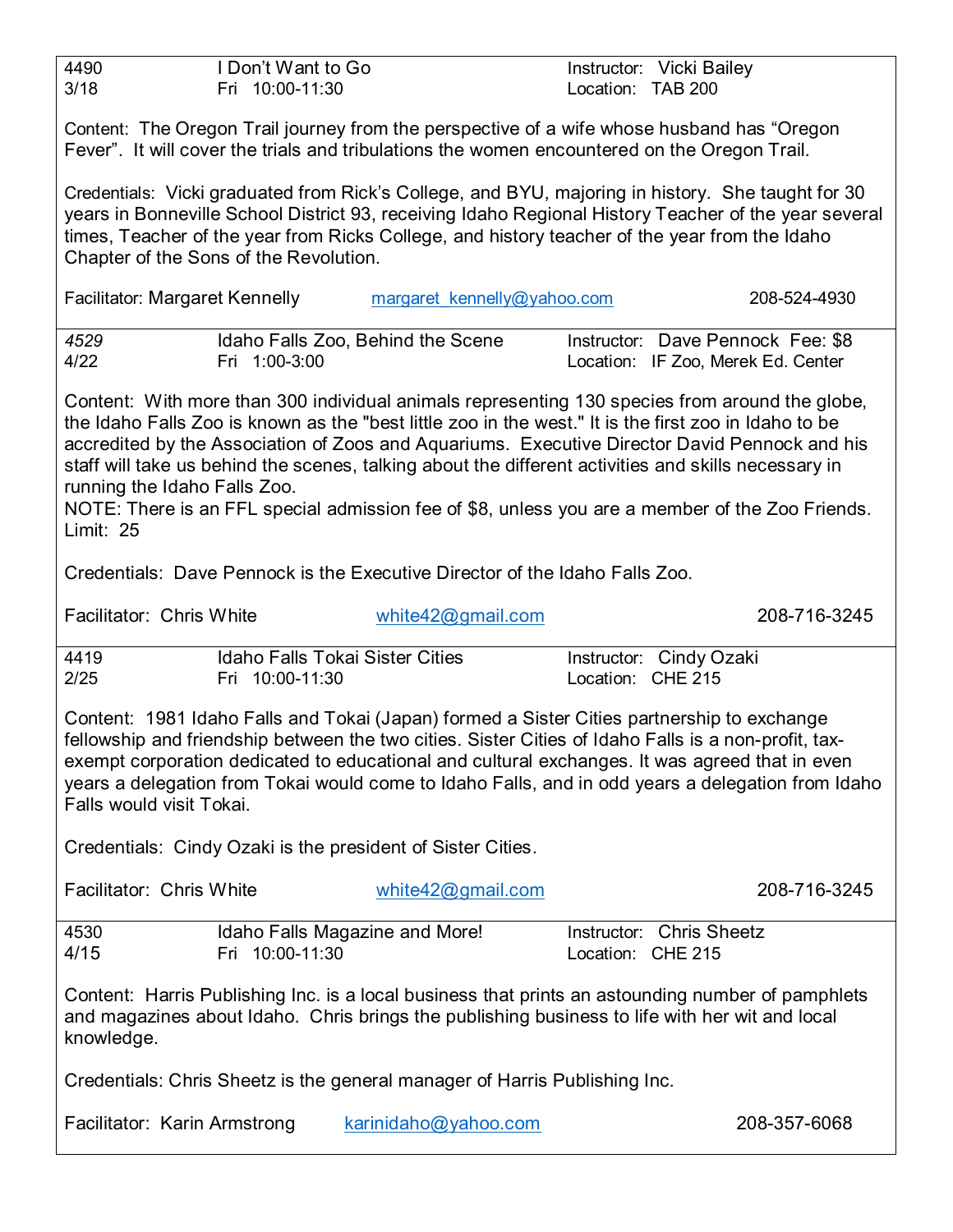| 3/18                                                                                                                                                                                                                                                                                                                                                                                                                                                                                                                                                                    | I Don't Want to Go<br>Fri 10:00-11:30                     |                                                                                                                                                                                                    | Location: TAB 200 | Instructor: Vicki Bailey                                                                                                                                                                                  |
|-------------------------------------------------------------------------------------------------------------------------------------------------------------------------------------------------------------------------------------------------------------------------------------------------------------------------------------------------------------------------------------------------------------------------------------------------------------------------------------------------------------------------------------------------------------------------|-----------------------------------------------------------|----------------------------------------------------------------------------------------------------------------------------------------------------------------------------------------------------|-------------------|-----------------------------------------------------------------------------------------------------------------------------------------------------------------------------------------------------------|
|                                                                                                                                                                                                                                                                                                                                                                                                                                                                                                                                                                         |                                                           | Content: The Oregon Trail journey from the perspective of a wife whose husband has "Oregon<br>Fever". It will cover the trials and tribulations the women encountered on the Oregon Trail.         |                   |                                                                                                                                                                                                           |
|                                                                                                                                                                                                                                                                                                                                                                                                                                                                                                                                                                         | Chapter of the Sons of the Revolution.                    | times, Teacher of the year from Ricks College, and history teacher of the year from the Idaho                                                                                                      |                   | Credentials: Vicki graduated from Rick's College, and BYU, majoring in history. She taught for 30<br>years in Bonneville School District 93, receiving Idaho Regional History Teacher of the year several |
| Facilitator: Margaret Kennelly                                                                                                                                                                                                                                                                                                                                                                                                                                                                                                                                          |                                                           | margaret kennelly@yahoo.com                                                                                                                                                                        |                   | 208-524-4930                                                                                                                                                                                              |
| 4529<br>4/22                                                                                                                                                                                                                                                                                                                                                                                                                                                                                                                                                            | Fri 1:00-3:00                                             | Idaho Falls Zoo, Behind the Scene                                                                                                                                                                  |                   | Instructor: Dave Pennock Fee: \$8<br>Location: IF Zoo, Merek Ed. Center                                                                                                                                   |
| Content: With more than 300 individual animals representing 130 species from around the globe,<br>the Idaho Falls Zoo is known as the "best little zoo in the west." It is the first zoo in Idaho to be<br>accredited by the Association of Zoos and Aquariums. Executive Director David Pennock and his<br>staff will take us behind the scenes, talking about the different activities and skills necessary in<br>running the Idaho Falls Zoo.<br>NOTE: There is an FFL special admission fee of \$8, unless you are a member of the Zoo Friends.<br><b>Limit: 25</b> |                                                           |                                                                                                                                                                                                    |                   |                                                                                                                                                                                                           |
|                                                                                                                                                                                                                                                                                                                                                                                                                                                                                                                                                                         |                                                           | Credentials: Dave Pennock is the Executive Director of the Idaho Falls Zoo.                                                                                                                        |                   |                                                                                                                                                                                                           |
| Facilitator: Chris White                                                                                                                                                                                                                                                                                                                                                                                                                                                                                                                                                |                                                           | white42@gmail.com                                                                                                                                                                                  |                   | 208-716-3245                                                                                                                                                                                              |
|                                                                                                                                                                                                                                                                                                                                                                                                                                                                                                                                                                         |                                                           |                                                                                                                                                                                                    |                   |                                                                                                                                                                                                           |
| 4419<br>2/25                                                                                                                                                                                                                                                                                                                                                                                                                                                                                                                                                            | <b>Idaho Falls Tokai Sister Cities</b><br>Fri 10:00-11:30 |                                                                                                                                                                                                    | Location: CHE 215 | Instructor: Cindy Ozaki                                                                                                                                                                                   |
| Falls would visit Tokai.                                                                                                                                                                                                                                                                                                                                                                                                                                                                                                                                                |                                                           | Content: 1981 Idaho Falls and Tokai (Japan) formed a Sister Cities partnership to exchange<br>fellowship and friendship between the two cities. Sister Cities of Idaho Falls is a non-profit, tax- |                   | exempt corporation dedicated to educational and cultural exchanges. It was agreed that in even<br>years a delegation from Tokai would come to Idaho Falls, and in odd years a delegation from Idaho       |
|                                                                                                                                                                                                                                                                                                                                                                                                                                                                                                                                                                         |                                                           | Credentials: Cindy Ozaki is the president of Sister Cities.                                                                                                                                        |                   |                                                                                                                                                                                                           |
| Facilitator: Chris White                                                                                                                                                                                                                                                                                                                                                                                                                                                                                                                                                |                                                           | white $42@$ gmail.com                                                                                                                                                                              |                   | 208-716-3245                                                                                                                                                                                              |
| 4530<br>4/15                                                                                                                                                                                                                                                                                                                                                                                                                                                                                                                                                            | Idaho Falls Magazine and More!<br>Fri 10:00-11:30         |                                                                                                                                                                                                    | Location: CHE 215 | Instructor: Chris Sheetz                                                                                                                                                                                  |
| knowledge.                                                                                                                                                                                                                                                                                                                                                                                                                                                                                                                                                              |                                                           | and magazines about Idaho. Chris brings the publishing business to life with her wit and local                                                                                                     |                   | Content: Harris Publishing Inc. is a local business that prints an astounding number of pamphlets                                                                                                         |
|                                                                                                                                                                                                                                                                                                                                                                                                                                                                                                                                                                         |                                                           | Credentials: Chris Sheetz is the general manager of Harris Publishing Inc.                                                                                                                         |                   |                                                                                                                                                                                                           |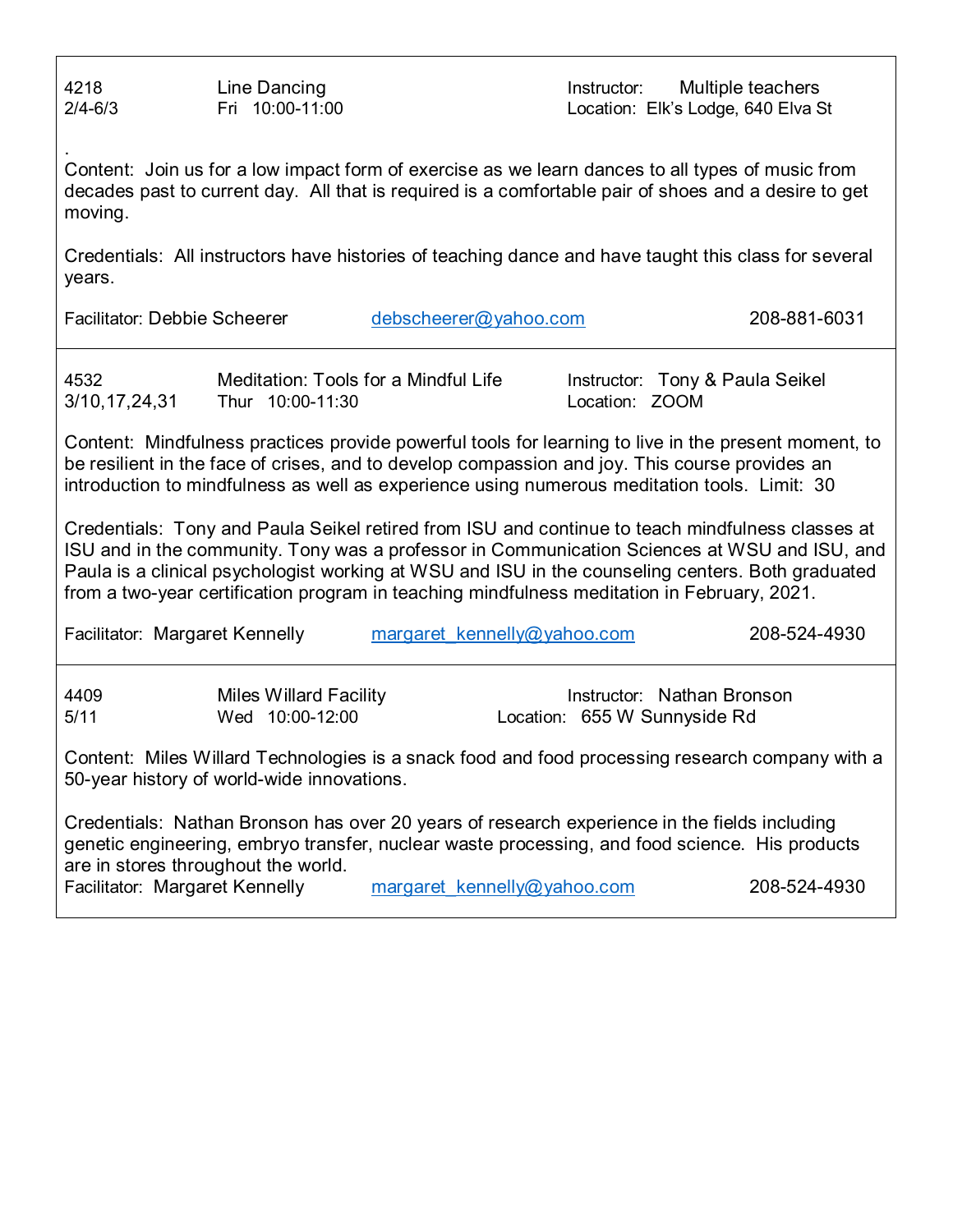Across 218 Line Dancing Contract Contract Contract Contract Contract Contract Contract Contract Contract Contract Contract Contract Contract Contract Contract Contract Contract Contract Contract Contract Contract Contract 2/4-6/3 Fri 10:00-11:00 Location: Elk's Lodge, 640 Elva St

. Content: Join us for a low impact form of exercise as we learn dances to all types of music from decades past to current day. All that is required is a comfortable pair of shoes and a desire to get moving.

Credentials: All instructors have histories of teaching dance and have taught this class for several years.

Facilitator: Debbie Scheerer [debscheerer@yahoo.com](mailto:debscheerer@yahoo.com) 208-881-6031

3/10,17,24,31 Thur 10:00-11:30 Location: ZOOM

4532 Meditation: Tools for a Mindful Life Instructor: Tony & Paula Seikel

Content: Mindfulness practices provide powerful tools for learning to live in the present moment, to be resilient in the face of crises, and to develop compassion and joy. This course provides an introduction to mindfulness as well as experience using numerous meditation tools. Limit: 30

Credentials: Tony and Paula Seikel retired from ISU and continue to teach mindfulness classes at ISU and in the community. Tony was a professor in Communication Sciences at WSU and ISU, and Paula is a clinical psychologist working at WSU and ISU in the counseling centers. Both graduated from a two-year certification program in teaching mindfulness meditation in February, 2021.

|              | Facilitator: Margaret Kennelly                   | margaret kennelly@yahoo.com                                                                                                                                                                    | 208-524-4930               |
|--------------|--------------------------------------------------|------------------------------------------------------------------------------------------------------------------------------------------------------------------------------------------------|----------------------------|
| 4409<br>5/11 | <b>Miles Willard Facility</b><br>Wed 10:00-12:00 | Location: 655 W Sunnyside Rd                                                                                                                                                                   | Instructor: Nathan Bronson |
|              | 50-year history of world-wide innovations.       | Content: Miles Willard Technologies is a snack food and food processing research company with a                                                                                                |                            |
|              | are in stores throughout the world.              | Credentials: Nathan Bronson has over 20 years of research experience in the fields including<br>genetic engineering, embryo transfer, nuclear waste processing, and food science. His products | 000 FOI IOOO               |

Facilitator: Margaret Kennelly margaret kennelly@yahoo.com 208-524-4930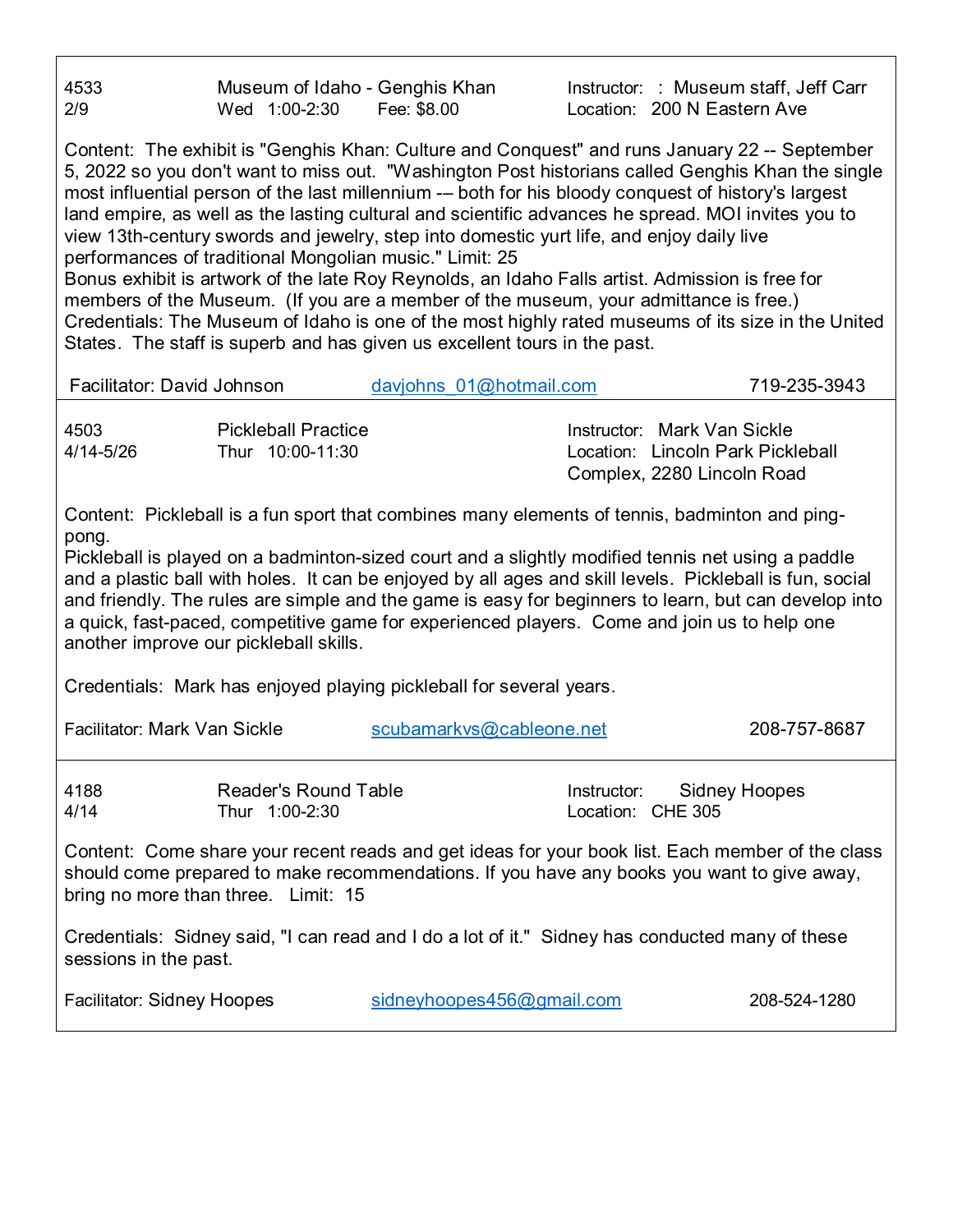4533 Museum of Idaho - Genghis Khan Instructor: : Museum staff, Jeff Carr 2/9 Wed 1:00-2:30 Fee: \$8.00 Location: 200 N Eastern Ave

Content: The exhibit is "Genghis Khan: Culture and Conquest" and runs January 22 -- September 5, 2022 so you don't want to miss out. "Washington Post historians called Genghis Khan the single most influential person of the last millennium -– both for his bloody conquest of history's largest land empire, as well as the lasting cultural and scientific advances he spread. MOI invites you to view 13th-century swords and jewelry, step into domestic yurt life, and enjoy daily live performances of traditional Mongolian music." Limit: 25

Bonus exhibit is artwork of the late Roy Reynolds, an Idaho Falls artist. Admission is free for members of the Museum. (If you are a member of the museum, your admittance is free.) Credentials: The Museum of Idaho is one of the most highly rated museums of its size in the United States. The staff is superb and has given us excellent tours in the past.

| Facilitator: David Johnson                                                                                                                                                                                                                                                                                                                                                                                                                                                                                                                                               |                                                | davjohns 01@hotmail.com                                                                         |                                  | 719-235-3943                                                                                   |  |
|--------------------------------------------------------------------------------------------------------------------------------------------------------------------------------------------------------------------------------------------------------------------------------------------------------------------------------------------------------------------------------------------------------------------------------------------------------------------------------------------------------------------------------------------------------------------------|------------------------------------------------|-------------------------------------------------------------------------------------------------|----------------------------------|------------------------------------------------------------------------------------------------|--|
| 4503<br>$4/14 - 5/26$                                                                                                                                                                                                                                                                                                                                                                                                                                                                                                                                                    | <b>Pickleball Practice</b><br>Thur 10:00-11:30 |                                                                                                 |                                  | Instructor: Mark Van Sickle<br>Location: Lincoln Park Pickleball<br>Complex, 2280 Lincoln Road |  |
| Content: Pickleball is a fun sport that combines many elements of tennis, badminton and ping-<br>pong.<br>Pickleball is played on a badminton-sized court and a slightly modified tennis net using a paddle<br>and a plastic ball with holes. It can be enjoyed by all ages and skill levels. Pickleball is fun, social<br>and friendly. The rules are simple and the game is easy for beginners to learn, but can develop into<br>a quick, fast-paced, competitive game for experienced players. Come and join us to help one<br>another improve our pickleball skills. |                                                |                                                                                                 |                                  |                                                                                                |  |
|                                                                                                                                                                                                                                                                                                                                                                                                                                                                                                                                                                          |                                                | Credentials: Mark has enjoyed playing pickleball for several years.                             |                                  |                                                                                                |  |
| <b>Facilitator: Mark Van Sickle</b>                                                                                                                                                                                                                                                                                                                                                                                                                                                                                                                                      |                                                | scubamarkvs@cableone.net                                                                        |                                  | 208-757-8687                                                                                   |  |
| 4188<br>4/14                                                                                                                                                                                                                                                                                                                                                                                                                                                                                                                                                             | <b>Reader's Round Table</b><br>Thur 1:00-2:30  |                                                                                                 | Instructor:<br>Location: CHE 305 | <b>Sidney Hoopes</b>                                                                           |  |
| Content: Come share your recent reads and get ideas for your book list. Each member of the class<br>should come prepared to make recommendations. If you have any books you want to give away,<br>bring no more than three. Limit: 15                                                                                                                                                                                                                                                                                                                                    |                                                |                                                                                                 |                                  |                                                                                                |  |
| sessions in the past.                                                                                                                                                                                                                                                                                                                                                                                                                                                                                                                                                    |                                                | Credentials: Sidney said, "I can read and I do a lot of it." Sidney has conducted many of these |                                  |                                                                                                |  |
| <b>Facilitator: Sidney Hoopes</b>                                                                                                                                                                                                                                                                                                                                                                                                                                                                                                                                        |                                                | sidneyhoopes456@gmail.com                                                                       |                                  | 208-524-1280                                                                                   |  |
|                                                                                                                                                                                                                                                                                                                                                                                                                                                                                                                                                                          |                                                |                                                                                                 |                                  |                                                                                                |  |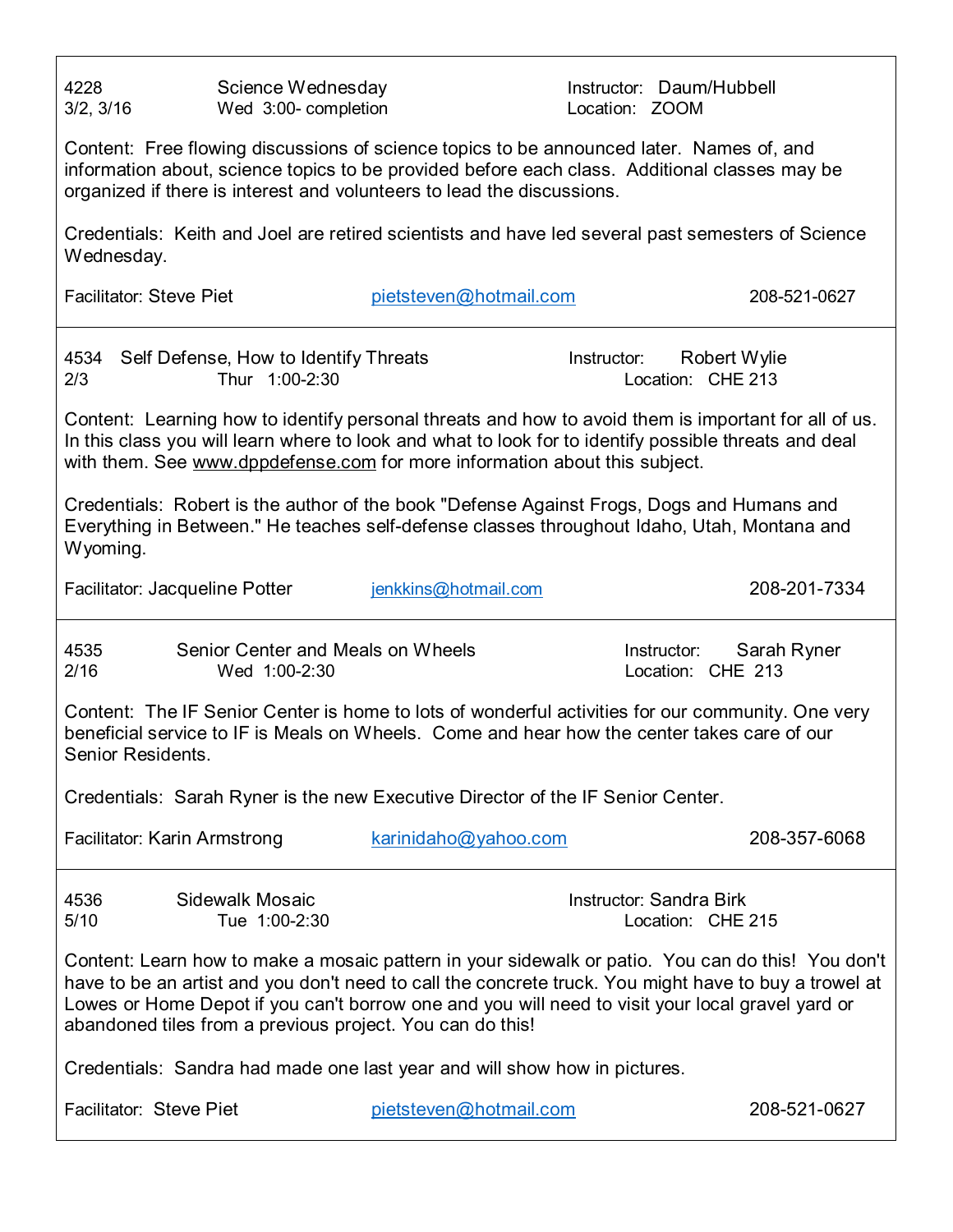| 4228<br>3/2, 3/16              | Science Wednesday<br>Wed 3:00- completion               |                                                                                                                                                                                                                                                                                                                                                                             | Instructor: Daum/Hubbell<br>Location: ZOOM          |              |
|--------------------------------|---------------------------------------------------------|-----------------------------------------------------------------------------------------------------------------------------------------------------------------------------------------------------------------------------------------------------------------------------------------------------------------------------------------------------------------------------|-----------------------------------------------------|--------------|
|                                |                                                         | Content: Free flowing discussions of science topics to be announced later. Names of, and<br>information about, science topics to be provided before each class. Additional classes may be<br>organized if there is interest and volunteers to lead the discussions.                                                                                                         |                                                     |              |
| Wednesday.                     |                                                         | Credentials: Keith and Joel are retired scientists and have led several past semesters of Science                                                                                                                                                                                                                                                                           |                                                     |              |
| <b>Facilitator: Steve Piet</b> |                                                         | pietsteven@hotmail.com                                                                                                                                                                                                                                                                                                                                                      |                                                     | 208-521-0627 |
| 4534<br>2/3                    | Self Defense, How to Identify Threats<br>Thur 1:00-2:30 |                                                                                                                                                                                                                                                                                                                                                                             | Robert Wylie<br>Instructor:<br>Location: CHE 213    |              |
|                                |                                                         | Content: Learning how to identify personal threats and how to avoid them is important for all of us.<br>In this class you will learn where to look and what to look for to identify possible threats and deal<br>with them. See www.dppdefense.com for more information about this subject.                                                                                 |                                                     |              |
| Wyoming.                       |                                                         | Credentials: Robert is the author of the book "Defense Against Frogs, Dogs and Humans and<br>Everything in Between." He teaches self-defense classes throughout Idaho, Utah, Montana and                                                                                                                                                                                    |                                                     |              |
| Facilitator: Jacqueline Potter |                                                         | jenkkins@hotmail.com                                                                                                                                                                                                                                                                                                                                                        |                                                     | 208-201-7334 |
| 4535<br>2/16                   | Senior Center and Meals on Wheels<br>Wed 1:00-2:30      |                                                                                                                                                                                                                                                                                                                                                                             | Instructor:<br>Location: CHE 213                    | Sarah Ryner  |
| Senior Residents.              |                                                         | Content: The IF Senior Center is home to lots of wonderful activities for our community. One very<br>beneficial service to IF is Meals on Wheels. Come and hear how the center takes care of our                                                                                                                                                                            |                                                     |              |
|                                |                                                         | Credentials: Sarah Ryner is the new Executive Director of the IF Senior Center.                                                                                                                                                                                                                                                                                             |                                                     |              |
| Facilitator: Karin Armstrong   |                                                         | karinidaho@yahoo.com                                                                                                                                                                                                                                                                                                                                                        |                                                     | 208-357-6068 |
| 4536<br>5/10                   | <b>Sidewalk Mosaic</b><br>Tue 1:00-2:30                 |                                                                                                                                                                                                                                                                                                                                                                             | <b>Instructor: Sandra Birk</b><br>Location: CHE 215 |              |
|                                |                                                         | Content: Learn how to make a mosaic pattern in your sidewalk or patio. You can do this! You don't<br>have to be an artist and you don't need to call the concrete truck. You might have to buy a trowel at<br>Lowes or Home Depot if you can't borrow one and you will need to visit your local gravel yard or<br>abandoned tiles from a previous project. You can do this! |                                                     |              |
|                                |                                                         | Credentials: Sandra had made one last year and will show how in pictures.                                                                                                                                                                                                                                                                                                   |                                                     |              |
| Facilitator: Steve Piet        |                                                         | pietsteven@hotmail.com                                                                                                                                                                                                                                                                                                                                                      |                                                     | 208-521-0627 |
|                                |                                                         |                                                                                                                                                                                                                                                                                                                                                                             |                                                     |              |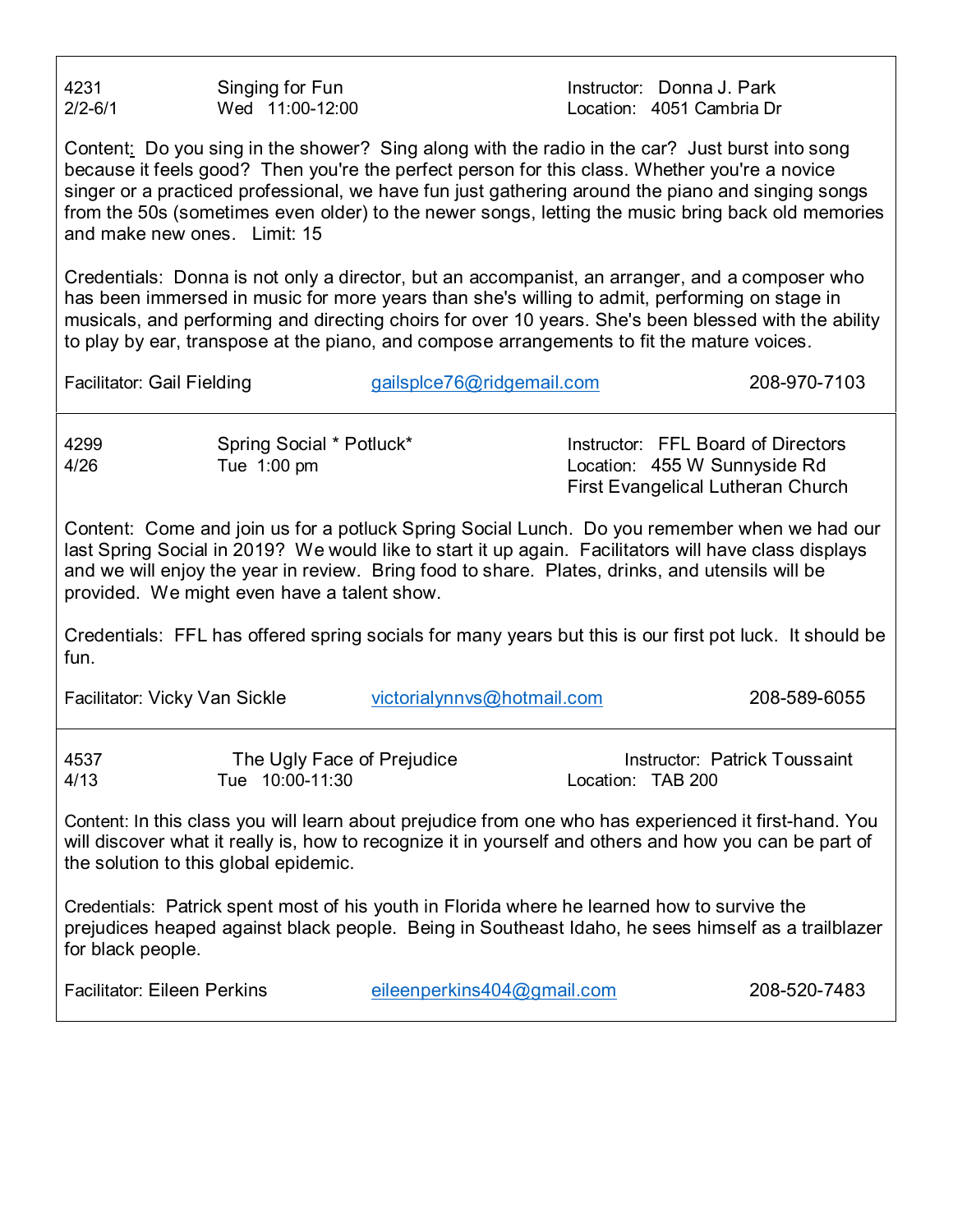4231 **Singing for Fun Instructor: Donna J. Park** 2/2-6/1 Wed 11:00-12:00 Location: 4051 Cambria Dr

Content: Do you sing in the shower? Sing along with the radio in the car? Just burst into song because it feels good? Then you're the perfect person for this class. Whether you're a novice singer or a practiced professional, we have fun just gathering around the piano and singing songs from the 50s (sometimes even older) to the newer songs, letting the music bring back old memories and make new ones. Limit: 15

Credentials: Donna is not only a director, but an accompanist, an arranger, and a composer who has been immersed in music for more years than she's willing to admit, performing on stage in musicals, and performing and directing choirs for over 10 years. She's been blessed with the ability to play by ear, transpose at the piano, and compose arrangements to fit the mature voices.

Facilitator: Gail Fielding example and [gailsplce76@ridgemail.com](mailto:gailsplce76@ridgemail.com) 208-970-7103

4299 Spring Social \* Potluck\* Instructor: FFL Board of Directors 4/26 Tue 1:00 pm Location: 455 W Sunnyside Rd First Evangelical Lutheran Church

Content: Come and join us for a potluck Spring Social Lunch. Do you remember when we had our last Spring Social in 2019? We would like to start it up again. Facilitators will have class displays and we will enjoy the year in review. Bring food to share. Plates, drinks, and utensils will be provided. We might even have a talent show.

Credentials: FFL has offered spring socials for many years but this is our first pot luck. It should be fun.

Facilitator: Vicky Van Sickle victorialynnys@hotmail.com 208-589-6055

| 4537 | The Ugly Face of Prejudice | Instructor: Patrick Toussaint |
|------|----------------------------|-------------------------------|
| 4/13 | Tue 10:00-11:30            | Location: TAB 200             |

Content: In this class you will learn about prejudice from one who has experienced it first-hand. You will discover what it really is, how to recognize it in yourself and others and how you can be part of the solution to this global epidemic.

Credentials: Patrick spent most of his youth in Florida where he learned how to survive the prejudices heaped against black people. Being in Southeast Idaho, he sees himself as a trailblazer for black people.

Facilitator: Eileen Perkins [eileenperkins404@gmail.com](mailto:eileenperkins404@gmail.com) 208-520-7483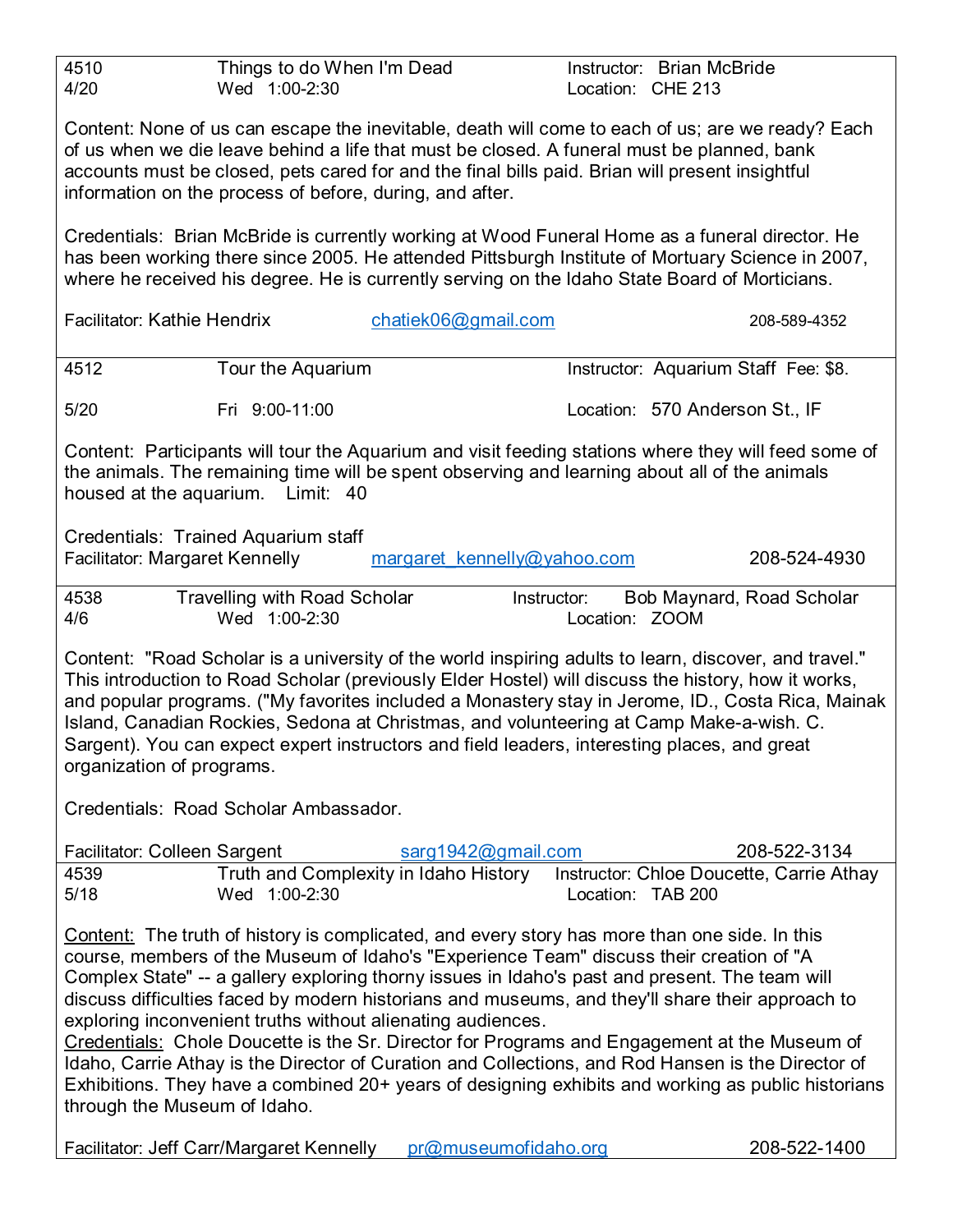| 4510<br>Wed 1:00-2:30<br>4/20                                                                                                                                                                                                                                                                                                                                                                                                                                                                                                                                                                                                                                                                                                                                                                             | Things to do When I'm Dead            | Instructor: Brian McBride<br>Location: CHE 213 |                                          |  |  |  |  |
|-----------------------------------------------------------------------------------------------------------------------------------------------------------------------------------------------------------------------------------------------------------------------------------------------------------------------------------------------------------------------------------------------------------------------------------------------------------------------------------------------------------------------------------------------------------------------------------------------------------------------------------------------------------------------------------------------------------------------------------------------------------------------------------------------------------|---------------------------------------|------------------------------------------------|------------------------------------------|--|--|--|--|
| Content: None of us can escape the inevitable, death will come to each of us; are we ready? Each<br>of us when we die leave behind a life that must be closed. A funeral must be planned, bank<br>accounts must be closed, pets cared for and the final bills paid. Brian will present insightful<br>information on the process of before, during, and after.                                                                                                                                                                                                                                                                                                                                                                                                                                             |                                       |                                                |                                          |  |  |  |  |
| Credentials: Brian McBride is currently working at Wood Funeral Home as a funeral director. He<br>has been working there since 2005. He attended Pittsburgh Institute of Mortuary Science in 2007,<br>where he received his degree. He is currently serving on the Idaho State Board of Morticians.                                                                                                                                                                                                                                                                                                                                                                                                                                                                                                       |                                       |                                                |                                          |  |  |  |  |
| <b>Facilitator: Kathie Hendrix</b>                                                                                                                                                                                                                                                                                                                                                                                                                                                                                                                                                                                                                                                                                                                                                                        | chatiek06@gmail.com                   |                                                | 208-589-4352                             |  |  |  |  |
| 4512<br>Tour the Aquarium                                                                                                                                                                                                                                                                                                                                                                                                                                                                                                                                                                                                                                                                                                                                                                                 |                                       |                                                | Instructor: Aquarium Staff Fee: \$8.     |  |  |  |  |
| 5/20<br>Fri 9:00-11:00                                                                                                                                                                                                                                                                                                                                                                                                                                                                                                                                                                                                                                                                                                                                                                                    |                                       |                                                | Location: 570 Anderson St., IF           |  |  |  |  |
| Content: Participants will tour the Aquarium and visit feeding stations where they will feed some of<br>the animals. The remaining time will be spent observing and learning about all of the animals<br>housed at the aquarium. Limit: 40                                                                                                                                                                                                                                                                                                                                                                                                                                                                                                                                                                |                                       |                                                |                                          |  |  |  |  |
| Credentials: Trained Aquarium staff<br>Facilitator: Margaret Kennelly                                                                                                                                                                                                                                                                                                                                                                                                                                                                                                                                                                                                                                                                                                                                     | margaret kennelly@yahoo.com           |                                                | 208-524-4930                             |  |  |  |  |
| <b>Travelling with Road Scholar</b><br>4538<br>4/6<br>Wed 1:00-2:30                                                                                                                                                                                                                                                                                                                                                                                                                                                                                                                                                                                                                                                                                                                                       |                                       | Instructor:<br>Location: ZOOM                  | Bob Maynard, Road Scholar                |  |  |  |  |
| Content: "Road Scholar is a university of the world inspiring adults to learn, discover, and travel."<br>This introduction to Road Scholar (previously Elder Hostel) will discuss the history, how it works,<br>and popular programs. ("My favorites included a Monastery stay in Jerome, ID., Costa Rica, Mainak<br>Island, Canadian Rockies, Sedona at Christmas, and volunteering at Camp Make-a-wish. C.<br>Sargent). You can expect expert instructors and field leaders, interesting places, and great<br>organization of programs.                                                                                                                                                                                                                                                                 |                                       |                                                |                                          |  |  |  |  |
| Credentials: Road Scholar Ambassador.                                                                                                                                                                                                                                                                                                                                                                                                                                                                                                                                                                                                                                                                                                                                                                     |                                       |                                                |                                          |  |  |  |  |
| Facilitator: Colleen Sargent                                                                                                                                                                                                                                                                                                                                                                                                                                                                                                                                                                                                                                                                                                                                                                              | sarg1942@gmail.com                    |                                                | 208-522-3134                             |  |  |  |  |
| 4539<br>5/18<br>Wed 1:00-2:30                                                                                                                                                                                                                                                                                                                                                                                                                                                                                                                                                                                                                                                                                                                                                                             | Truth and Complexity in Idaho History | Location: TAB 200                              | Instructor: Chloe Doucette, Carrie Athay |  |  |  |  |
| Content: The truth of history is complicated, and every story has more than one side. In this<br>course, members of the Museum of Idaho's "Experience Team" discuss their creation of "A<br>Complex State" -- a gallery exploring thorny issues in Idaho's past and present. The team will<br>discuss difficulties faced by modern historians and museums, and they'll share their approach to<br>exploring inconvenient truths without alienating audiences.<br>Credentials: Chole Doucette is the Sr. Director for Programs and Engagement at the Museum of<br>Idaho, Carrie Athay is the Director of Curation and Collections, and Rod Hansen is the Director of<br>Exhibitions. They have a combined 20+ years of designing exhibits and working as public historians<br>through the Museum of Idaho. |                                       |                                                |                                          |  |  |  |  |
| Facilitator: Jeff Carr/Margaret Kennelly                                                                                                                                                                                                                                                                                                                                                                                                                                                                                                                                                                                                                                                                                                                                                                  | pr@museumofidaho.org                  |                                                | 208-522-1400                             |  |  |  |  |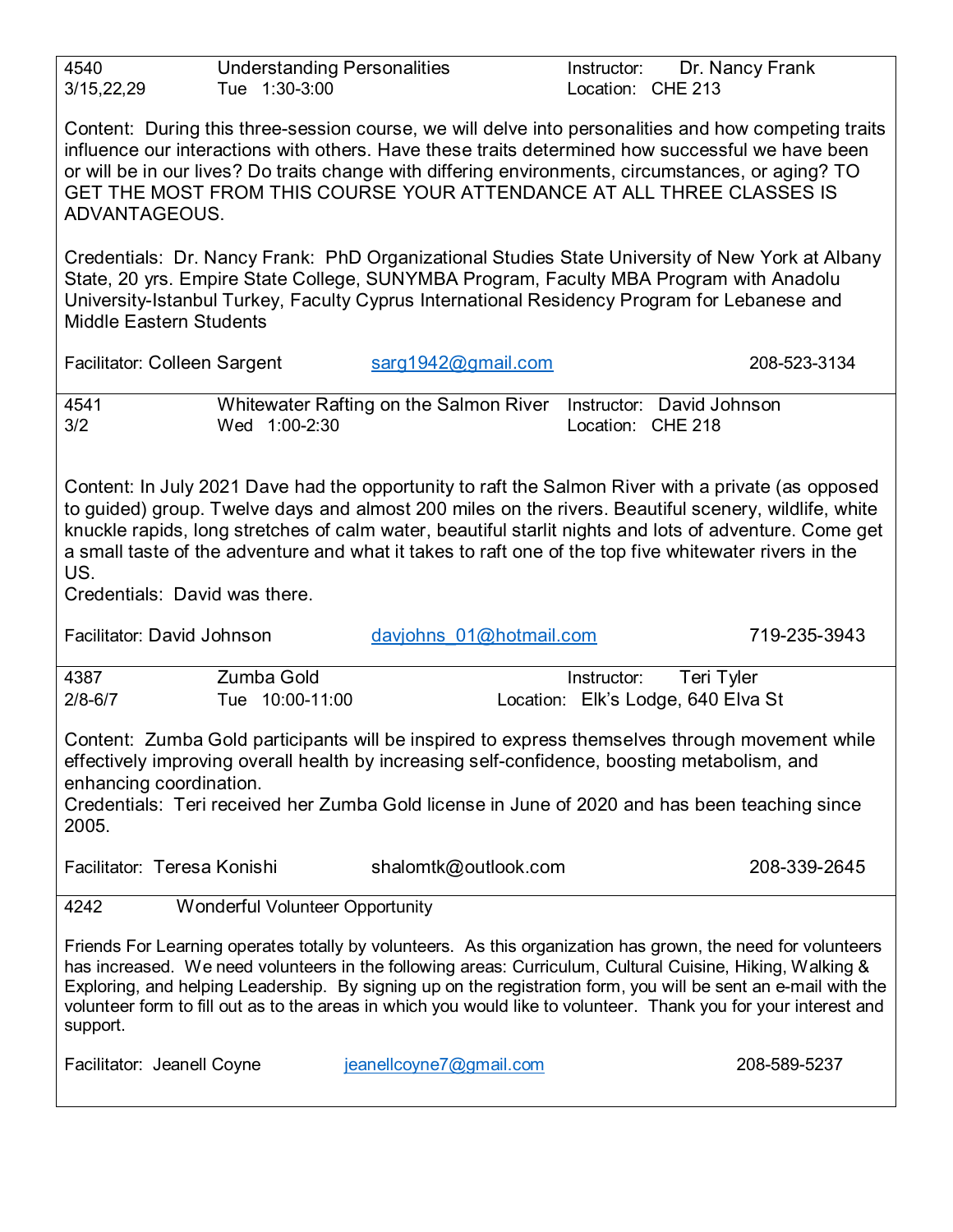| 4540<br>3/15,22,29                                                                                                                                                                                                                                                                                                                                                                                                                                                    | <b>Understanding Personalities</b><br>Tue 1:30-3:00 |                                                                                                                                                                                       | Instructor:<br>Location: CHE 213 | Dr. Nancy Frank                                                                                                                                                                                                                                                                                                                                                                                                                                                 |  |  |
|-----------------------------------------------------------------------------------------------------------------------------------------------------------------------------------------------------------------------------------------------------------------------------------------------------------------------------------------------------------------------------------------------------------------------------------------------------------------------|-----------------------------------------------------|---------------------------------------------------------------------------------------------------------------------------------------------------------------------------------------|----------------------------------|-----------------------------------------------------------------------------------------------------------------------------------------------------------------------------------------------------------------------------------------------------------------------------------------------------------------------------------------------------------------------------------------------------------------------------------------------------------------|--|--|
| Content: During this three-session course, we will delve into personalities and how competing traits<br>influence our interactions with others. Have these traits determined how successful we have been<br>or will be in our lives? Do traits change with differing environments, circumstances, or aging? TO<br>GET THE MOST FROM THIS COURSE YOUR ATTENDANCE AT ALL THREE CLASSES IS<br>ADVANTAGEOUS.                                                              |                                                     |                                                                                                                                                                                       |                                  |                                                                                                                                                                                                                                                                                                                                                                                                                                                                 |  |  |
| <b>Middle Eastern Students</b>                                                                                                                                                                                                                                                                                                                                                                                                                                        |                                                     | State, 20 yrs. Empire State College, SUNYMBA Program, Faculty MBA Program with Anadolu<br>University-Istanbul Turkey, Faculty Cyprus International Residency Program for Lebanese and |                                  | Credentials: Dr. Nancy Frank: PhD Organizational Studies State University of New York at Albany                                                                                                                                                                                                                                                                                                                                                                 |  |  |
| Facilitator: Colleen Sargent                                                                                                                                                                                                                                                                                                                                                                                                                                          |                                                     | sarg1942@gmail.com                                                                                                                                                                    |                                  | 208-523-3134                                                                                                                                                                                                                                                                                                                                                                                                                                                    |  |  |
| 4541<br>3/2                                                                                                                                                                                                                                                                                                                                                                                                                                                           | Wed 1:00-2:30                                       | Whitewater Rafting on the Salmon River                                                                                                                                                | Location: CHE 218                | Instructor: David Johnson                                                                                                                                                                                                                                                                                                                                                                                                                                       |  |  |
| Content: In July 2021 Dave had the opportunity to raft the Salmon River with a private (as opposed<br>to guided) group. Twelve days and almost 200 miles on the rivers. Beautiful scenery, wildlife, white<br>knuckle rapids, long stretches of calm water, beautiful starlit nights and lots of adventure. Come get<br>a small taste of the adventure and what it takes to raft one of the top five whitewater rivers in the<br>US.<br>Credentials: David was there. |                                                     |                                                                                                                                                                                       |                                  |                                                                                                                                                                                                                                                                                                                                                                                                                                                                 |  |  |
|                                                                                                                                                                                                                                                                                                                                                                                                                                                                       |                                                     |                                                                                                                                                                                       |                                  |                                                                                                                                                                                                                                                                                                                                                                                                                                                                 |  |  |
| Facilitator: David Johnson                                                                                                                                                                                                                                                                                                                                                                                                                                            |                                                     | davjohns 01@hotmail.com                                                                                                                                                               |                                  | 719-235-3943                                                                                                                                                                                                                                                                                                                                                                                                                                                    |  |  |
| 4387<br>$2/8 - 6/7$                                                                                                                                                                                                                                                                                                                                                                                                                                                   | <b>Zumba Gold</b><br>Tue 10:00-11:00                |                                                                                                                                                                                       | Instructor:                      | Teri Tyler<br>Location: Elk's Lodge, 640 Elva St                                                                                                                                                                                                                                                                                                                                                                                                                |  |  |
| enhancing coordination.<br>2005.                                                                                                                                                                                                                                                                                                                                                                                                                                      |                                                     | effectively improving overall health by increasing self-confidence, boosting metabolism, and                                                                                          |                                  | Content: Zumba Gold participants will be inspired to express themselves through movement while<br>Credentials: Teri received her Zumba Gold license in June of 2020 and has been teaching since                                                                                                                                                                                                                                                                 |  |  |
| Facilitator: Teresa Konishi                                                                                                                                                                                                                                                                                                                                                                                                                                           |                                                     | shalomtk@outlook.com                                                                                                                                                                  |                                  | 208-339-2645                                                                                                                                                                                                                                                                                                                                                                                                                                                    |  |  |
| 4242                                                                                                                                                                                                                                                                                                                                                                                                                                                                  | Wonderful Volunteer Opportunity                     |                                                                                                                                                                                       |                                  |                                                                                                                                                                                                                                                                                                                                                                                                                                                                 |  |  |
| support.                                                                                                                                                                                                                                                                                                                                                                                                                                                              |                                                     |                                                                                                                                                                                       |                                  | Friends For Learning operates totally by volunteers. As this organization has grown, the need for volunteers<br>has increased. We need volunteers in the following areas: Curriculum, Cultural Cuisine, Hiking, Walking &<br>Exploring, and helping Leadership. By signing up on the registration form, you will be sent an e-mail with the<br>volunteer form to fill out as to the areas in which you would like to volunteer. Thank you for your interest and |  |  |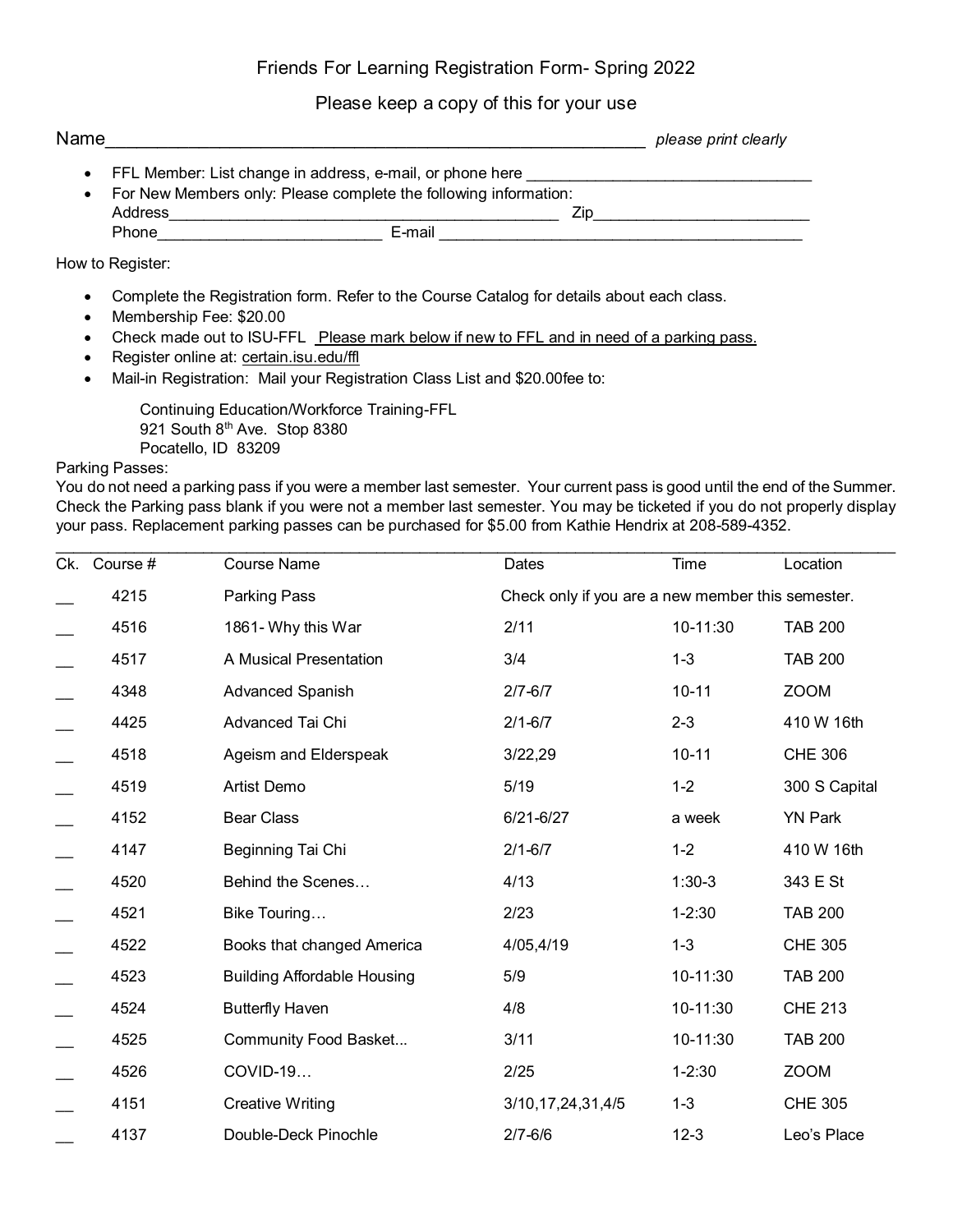## Friends For Learning Registration Form- Spring 2022

### Please keep a copy of this for your use

| Name |                                                                                                                                 |  |  |        |  |     | please print clearly |
|------|---------------------------------------------------------------------------------------------------------------------------------|--|--|--------|--|-----|----------------------|
|      | • FFL Member: List change in address, e-mail, or phone here<br>For New Members only: Please complete the following information: |  |  |        |  |     |                      |
|      | Address                                                                                                                         |  |  |        |  | ∕in |                      |
|      | Phone                                                                                                                           |  |  | E-mail |  |     |                      |

### How to Register:

- Complete the Registration form. Refer to the Course Catalog for details about each class.
- Membership Fee: \$20.00
- Check made out to ISU-FFL Please mark below if new to FFL and in need of a parking pass.
- Register online at: certain.isu.edu/ffl
- Mail-in Registration: Mail your Registration Class List and \$20.00fee to:

Continuing Education/Workforce Training-FFL 921 South 8<sup>th</sup> Ave. Stop 8380 Pocatello, ID 83209

#### Parking Passes:

You do not need a parking pass if you were a member last semester. Your current pass is good until the end of the Summer. Check the Parking pass blank if you were not a member last semester. You may be ticketed if you do not properly display your pass. Replacement parking passes can be purchased for \$5.00 from Kathie Hendrix at 208-589-4352.

| Ck. Course # | <b>Course Name</b>                 | Dates                 | Time                                              | Location       |  |  |
|--------------|------------------------------------|-----------------------|---------------------------------------------------|----------------|--|--|
| 4215         | Parking Pass                       |                       | Check only if you are a new member this semester. |                |  |  |
| 4516         | 1861- Why this War                 | 2/11                  | 10-11:30                                          | <b>TAB 200</b> |  |  |
| 4517         | A Musical Presentation             | 3/4                   | $1 - 3$                                           | <b>TAB 200</b> |  |  |
| 4348         | Advanced Spanish                   | $2/7 - 6/7$           | $10 - 11$                                         | <b>ZOOM</b>    |  |  |
| 4425         | Advanced Tai Chi                   | $2/1 - 6/7$           | $2 - 3$                                           | 410 W 16th     |  |  |
| 4518         | Ageism and Elderspeak              | 3/22,29               | $10 - 11$                                         | <b>CHE 306</b> |  |  |
| 4519         | Artist Demo                        | 5/19                  | $1 - 2$                                           | 300 S Capital  |  |  |
| 4152         | <b>Bear Class</b>                  | $6/21 - 6/27$         | a week                                            | <b>YN Park</b> |  |  |
| 4147         | Beginning Tai Chi                  | $2/1 - 6/7$           | $1 - 2$                                           | 410 W 16th     |  |  |
| 4520         | Behind the Scenes                  | 4/13                  | $1:30-3$                                          | 343 E St       |  |  |
| 4521         | Bike Touring                       | 2/23                  | $1 - 2:30$                                        | <b>TAB 200</b> |  |  |
| 4522         | Books that changed America         | 4/05,4/19             | $1 - 3$                                           | <b>CHE 305</b> |  |  |
| 4523         | <b>Building Affordable Housing</b> | 5/9                   | 10-11:30                                          | <b>TAB 200</b> |  |  |
| 4524         | <b>Butterfly Haven</b>             | 4/8                   | 10-11:30                                          | <b>CHE 213</b> |  |  |
| 4525         | Community Food Basket              | 3/11                  | 10-11:30                                          | <b>TAB 200</b> |  |  |
| 4526         | COVID-19                           | 2/25                  | $1 - 2:30$                                        | <b>ZOOM</b>    |  |  |
| 4151         | <b>Creative Writing</b>            | 3/10, 17, 24, 31, 4/5 | $1 - 3$                                           | <b>CHE 305</b> |  |  |
| 4137         | Double-Deck Pinochle               | $2/7 - 6/6$           | $12 - 3$                                          | Leo's Place    |  |  |